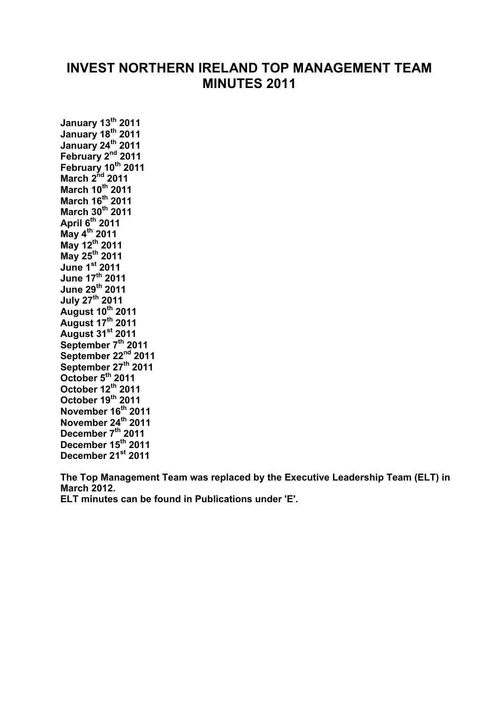# **INVEST NORTHERN IRELAND TOP MANAGEMENT TEAM MINUTES 2011**

**[January 13th](#page-1-0) 2011 [January 18](#page-4-0)th 2011 [January 24](#page-7-0)th 2011 [February 2nd](#page-9-0) 2011 [February 10](#page-12-0)th 2011 [March 2nd](#page-14-0) 2011 [March 10](#page-17-0)th 2011 [March 16](#page-19-0)th 2011 [March 30](#page-21-0)th 2011 [April 6th](#page-24-0) 2011 [May 4](#page-26-0)th 2011 [May 12th](#page-28-0) 2011 [May 25th](#page-30-0) 2011 [June 1](#page-31-0)st 2011 [June 17](#page-34-0)th 2011 [June 29](#page-36-0)th 2011 [July 27](#page-38-0)th 2011 [August 10th](#page-41-0) 2011 [August 17th](#page-43-0) 2011 [August 31st](#page-45-0) 2011 [September 7](#page-49-0)th 2011 [September 22nd](#page-52-0) 2011 [September 27](#page-54-0)th 2011 [October 5](#page-56-0)th 2011 [October 12](#page-58-0)th 2011 [October 19](#page-60-0)th 2011 [November 16](#page-62-0)th 2011 [November 24](#page-63-0)th 2011 [December 7](#page-66-0)th 2011 [December 15th](#page-68-0) 2011 [December 21st](#page-70-0) 2011**

**The Top Management Team was replaced by the Executive Leadership Team (ELT) in March 2012.**

**ELT minutes can be found in Publications under 'E'.**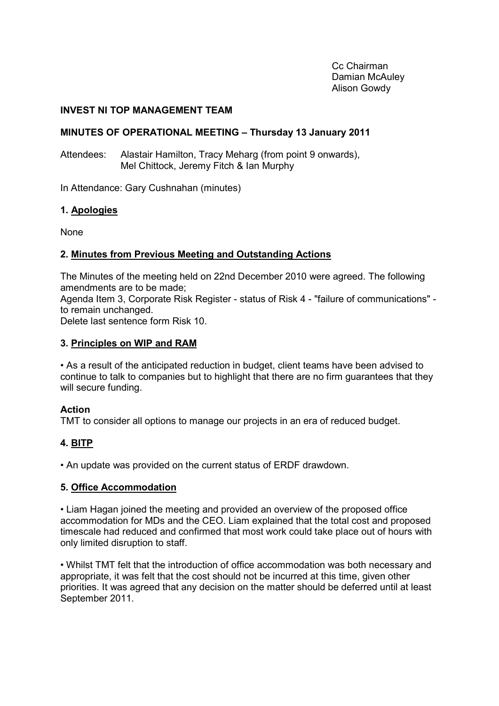Cc Chairman Damian McAuley Alison Gowdy

#### <span id="page-1-0"></span>**INVEST NI TOP MANAGEMENT TEAM**

#### **MINUTES OF OPERATIONAL MEETING – Thursday 13 January 2011**

Attendees: Alastair Hamilton, Tracy Meharg (from point 9 onwards), Mel Chittock, Jeremy Fitch & Ian Murphy

In Attendance: Gary Cushnahan (minutes)

#### **1. Apologies**

None

#### **2. Minutes from Previous Meeting and Outstanding Actions**

The Minutes of the meeting held on 22nd December 2010 were agreed. The following amendments are to be made;

Agenda Item 3, Corporate Risk Register - status of Risk 4 - "failure of communications" to remain unchanged.

Delete last sentence form Risk 10.

#### **3. Principles on WIP and RAM**

• As a result of the anticipated reduction in budget, client teams have been advised to continue to talk to companies but to highlight that there are no firm guarantees that they will secure funding.

#### **Action**

TMT to consider all options to manage our projects in an era of reduced budget.

#### **4. BITP**

• An update was provided on the current status of ERDF drawdown.

#### **5. Office Accommodation**

• Liam Hagan joined the meeting and provided an overview of the proposed office accommodation for MDs and the CEO. Liam explained that the total cost and proposed timescale had reduced and confirmed that most work could take place out of hours with only limited disruption to staff.

• Whilst TMT felt that the introduction of office accommodation was both necessary and appropriate, it was felt that the cost should not be incurred at this time, given other priorities. It was agreed that any decision on the matter should be deferred until at least September 2011.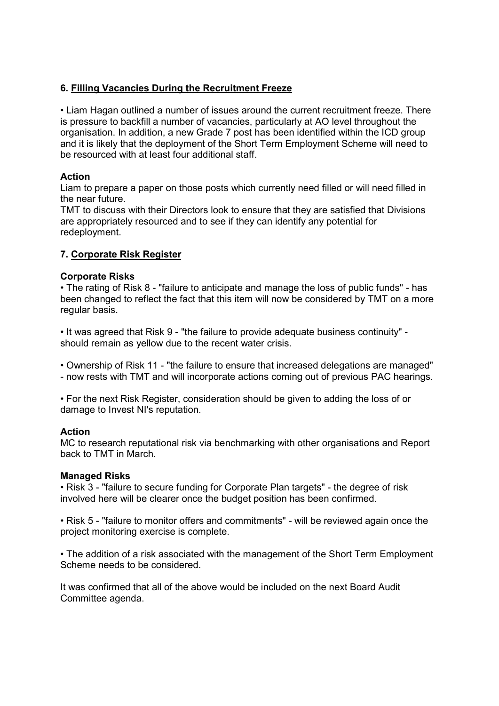#### **6. Filling Vacancies During the Recruitment Freeze**

• Liam Hagan outlined a number of issues around the current recruitment freeze. There is pressure to backfill a number of vacancies, particularly at AO level throughout the organisation. In addition, a new Grade 7 post has been identified within the ICD group and it is likely that the deployment of the Short Term Employment Scheme will need to be resourced with at least four additional staff.

#### **Action**

Liam to prepare a paper on those posts which currently need filled or will need filled in the near future.

TMT to discuss with their Directors look to ensure that they are satisfied that Divisions are appropriately resourced and to see if they can identify any potential for redeployment.

#### **7. Corporate Risk Register**

#### **Corporate Risks**

• The rating of Risk 8 - "failure to anticipate and manage the loss of public funds" - has been changed to reflect the fact that this item will now be considered by TMT on a more regular basis.

• It was agreed that Risk 9 - "the failure to provide adequate business continuity" should remain as yellow due to the recent water crisis.

• Ownership of Risk 11 - "the failure to ensure that increased delegations are managed" - now rests with TMT and will incorporate actions coming out of previous PAC hearings.

• For the next Risk Register, consideration should be given to adding the loss of or damage to Invest NI's reputation.

#### **Action**

MC to research reputational risk via benchmarking with other organisations and Report back to TMT in March.

#### **Managed Risks**

• Risk 3 - "failure to secure funding for Corporate Plan targets" - the degree of risk involved here will be clearer once the budget position has been confirmed.

• Risk 5 - "failure to monitor offers and commitments" - will be reviewed again once the project monitoring exercise is complete.

• The addition of a risk associated with the management of the Short Term Employment Scheme needs to be considered.

It was confirmed that all of the above would be included on the next Board Audit Committee agenda.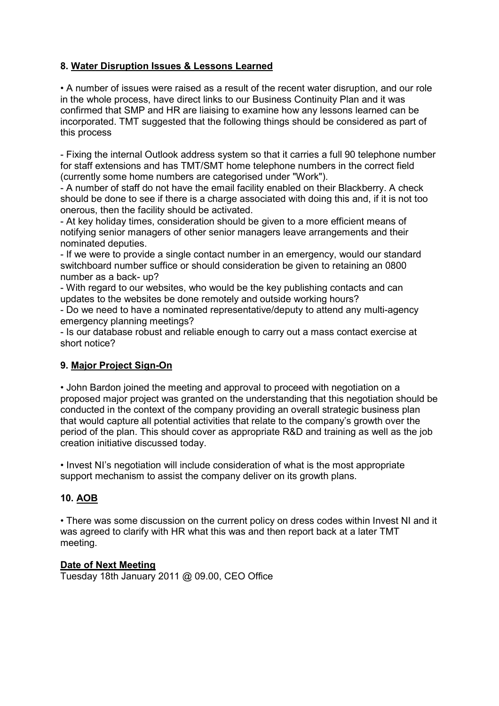## **8. Water Disruption Issues & Lessons Learned**

• A number of issues were raised as a result of the recent water disruption, and our role in the whole process, have direct links to our Business Continuity Plan and it was confirmed that SMP and HR are liaising to examine how any lessons learned can be incorporated. TMT suggested that the following things should be considered as part of this process

- Fixing the internal Outlook address system so that it carries a full 90 telephone number for staff extensions and has TMT/SMT home telephone numbers in the correct field (currently some home numbers are categorised under "Work").

- A number of staff do not have the email facility enabled on their Blackberry. A check should be done to see if there is a charge associated with doing this and, if it is not too onerous, then the facility should be activated.

- At key holiday times, consideration should be given to a more efficient means of notifying senior managers of other senior managers leave arrangements and their nominated deputies.

- If we were to provide a single contact number in an emergency, would our standard switchboard number suffice or should consideration be given to retaining an 0800 number as a back- up?

- With regard to our websites, who would be the key publishing contacts and can updates to the websites be done remotely and outside working hours?

- Do we need to have a nominated representative/deputy to attend any multi-agency emergency planning meetings?

- Is our database robust and reliable enough to carry out a mass contact exercise at short notice?

## **9. Major Project Sign-On**

• John Bardon joined the meeting and approval to proceed with negotiation on a proposed major project was granted on the understanding that this negotiation should be conducted in the context of the company providing an overall strategic business plan that would capture all potential activities that relate to the company's growth over the period of the plan. This should cover as appropriate R&D and training as well as the job creation initiative discussed today.

• Invest NI's negotiation will include consideration of what is the most appropriate support mechanism to assist the company deliver on its growth plans.

## **10. AOB**

• There was some discussion on the current policy on dress codes within Invest NI and it was agreed to clarify with HR what this was and then report back at a later TMT meeting.

#### **Date of Next Meeting**

Tuesday 18th January 2011 @ 09.00, CEO Office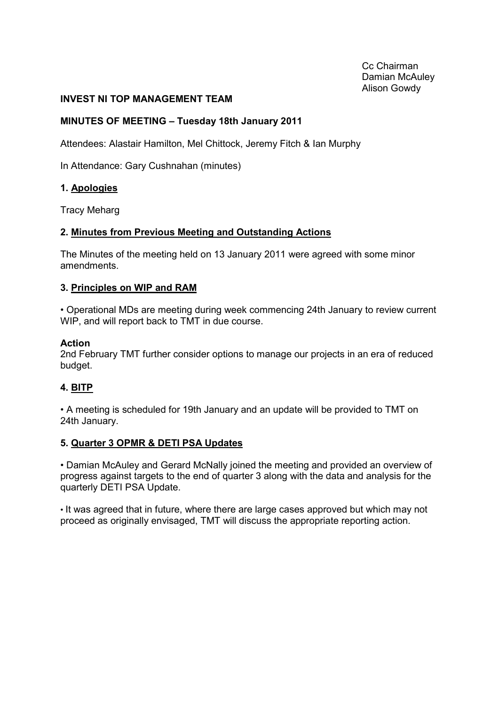Cc Chairman Damian McAuley Alison Gowdy

#### <span id="page-4-0"></span>**INVEST NI TOP MANAGEMENT TEAM**

#### **MINUTES OF MEETING – Tuesday 18th January 2011**

Attendees: Alastair Hamilton, Mel Chittock, Jeremy Fitch & Ian Murphy

In Attendance: Gary Cushnahan (minutes)

#### **1. Apologies**

Tracy Meharg

#### **2. Minutes from Previous Meeting and Outstanding Actions**

The Minutes of the meeting held on 13 January 2011 were agreed with some minor amendments.

#### **3. Principles on WIP and RAM**

• Operational MDs are meeting during week commencing 24th January to review current WIP, and will report back to TMT in due course.

#### **Action**

2nd February TMT further consider options to manage our projects in an era of reduced budget.

#### **4. BITP**

• A meeting is scheduled for 19th January and an update will be provided to TMT on 24th January.

#### **5. Quarter 3 OPMR & DETI PSA Updates**

• Damian McAuley and Gerard McNally joined the meeting and provided an overview of progress against targets to the end of quarter 3 along with the data and analysis for the quarterly DETI PSA Update.

• It was agreed that in future, where there are large cases approved but which may not proceed as originally envisaged, TMT will discuss the appropriate reporting action.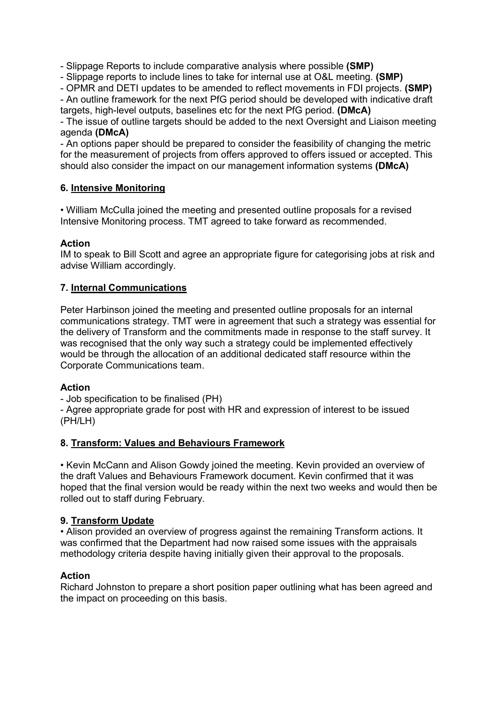- Slippage Reports to include comparative analysis where possible **(SMP)** 

- Slippage reports to include lines to take for internal use at O&L meeting. **(SMP)** 

- OPMR and DETI updates to be amended to reflect movements in FDI projects. **(SMP)** 

- An outline framework for the next PfG period should be developed with indicative draft targets, high-level outputs, baselines etc for the next PfG period. **(DMcA)** 

- The issue of outline targets should be added to the next Oversight and Liaison meeting agenda **(DMcA)** 

- An options paper should be prepared to consider the feasibility of changing the metric for the measurement of projects from offers approved to offers issued or accepted. This should also consider the impact on our management information systems **(DMcA)** 

#### **6. Intensive Monitoring**

• William McCulla joined the meeting and presented outline proposals for a revised Intensive Monitoring process. TMT agreed to take forward as recommended.

#### **Action**

IM to speak to Bill Scott and agree an appropriate figure for categorising jobs at risk and advise William accordingly.

### **7. Internal Communications**

Peter Harbinson joined the meeting and presented outline proposals for an internal communications strategy. TMT were in agreement that such a strategy was essential for the delivery of Transform and the commitments made in response to the staff survey. It was recognised that the only way such a strategy could be implemented effectively would be through the allocation of an additional dedicated staff resource within the Corporate Communications team.

#### **Action**

- Job specification to be finalised (PH)

- Agree appropriate grade for post with HR and expression of interest to be issued (PH/LH)

#### **8. Transform: Values and Behaviours Framework**

• Kevin McCann and Alison Gowdy joined the meeting. Kevin provided an overview of the draft Values and Behaviours Framework document. Kevin confirmed that it was hoped that the final version would be ready within the next two weeks and would then be rolled out to staff during February.

#### **9. Transform Update**

• Alison provided an overview of progress against the remaining Transform actions. It was confirmed that the Department had now raised some issues with the appraisals methodology criteria despite having initially given their approval to the proposals.

#### **Action**

Richard Johnston to prepare a short position paper outlining what has been agreed and the impact on proceeding on this basis.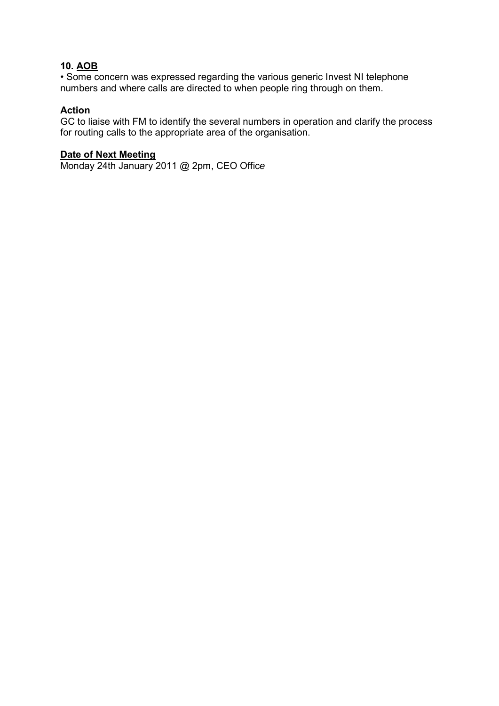### **10. AOB**

• Some concern was expressed regarding the various generic Invest NI telephone numbers and where calls are directed to when people ring through on them.

#### **Action**

GC to liaise with FM to identify the several numbers in operation and clarify the process for routing calls to the appropriate area of the organisation.

# **Date of Next Meeting**

Monday 24th January 2011 @ 2pm, CEO Offic*e*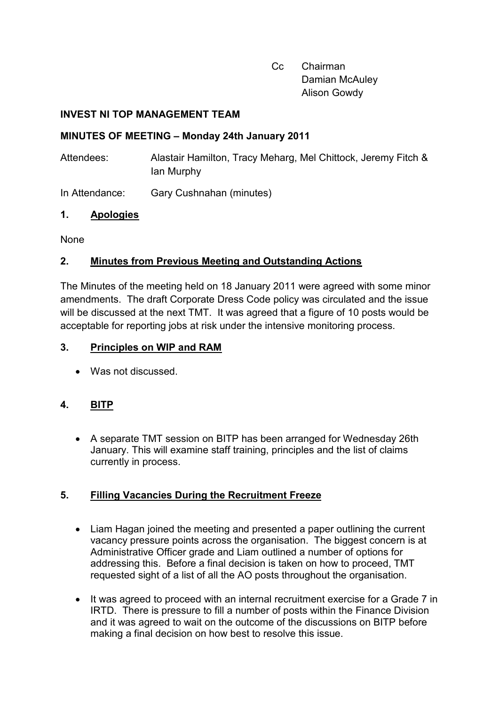Cc Chairman Damian McAuley Alison Gowdy

## <span id="page-7-0"></span>**INVEST NI TOP MANAGEMENT TEAM**

## **MINUTES OF MEETING – Monday 24th January 2011**

Attendees: Alastair Hamilton, Tracy Meharg, Mel Chittock, Jeremy Fitch & Ian Murphy

In Attendance: Gary Cushnahan (minutes)

#### **1. Apologies**

None

#### **2. Minutes from Previous Meeting and Outstanding Actions**

The Minutes of the meeting held on 18 January 2011 were agreed with some minor amendments. The draft Corporate Dress Code policy was circulated and the issue will be discussed at the next TMT. It was agreed that a figure of 10 posts would be acceptable for reporting jobs at risk under the intensive monitoring process.

#### **3. Principles on WIP and RAM**

• Was not discussed.

## **4. BITP**

• A separate TMT session on BITP has been arranged for Wednesday 26th January. This will examine staff training, principles and the list of claims currently in process.

## **5. Filling Vacancies During the Recruitment Freeze**

- Liam Hagan joined the meeting and presented a paper outlining the current vacancy pressure points across the organisation. The biggest concern is at Administrative Officer grade and Liam outlined a number of options for addressing this. Before a final decision is taken on how to proceed, TMT requested sight of a list of all the AO posts throughout the organisation.
- It was agreed to proceed with an internal recruitment exercise for a Grade 7 in IRTD. There is pressure to fill a number of posts within the Finance Division and it was agreed to wait on the outcome of the discussions on BITP before making a final decision on how best to resolve this issue.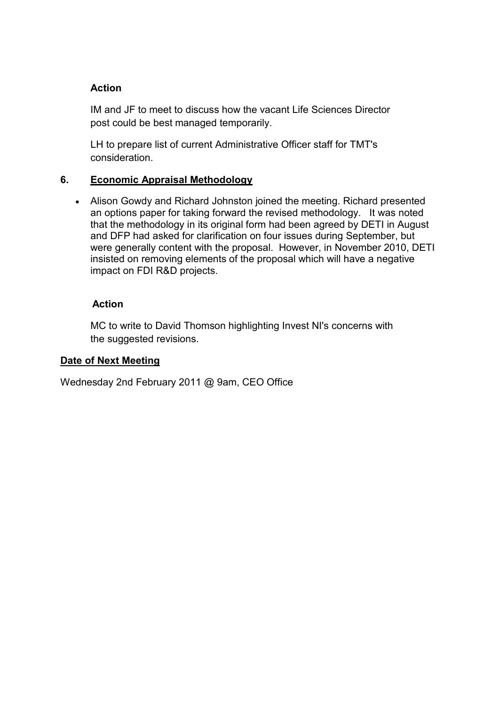## **Action**

IM and JF to meet to discuss how the vacant Life Sciences Director post could be best managed temporarily.

LH to prepare list of current Administrative Officer staff for TMT's consideration.

#### **6. Economic Appraisal Methodology**

• Alison Gowdy and Richard Johnston joined the meeting. Richard presented an options paper for taking forward the revised methodology. It was noted that the methodology in its original form had been agreed by DETI in August and DFP had asked for clarification on four issues during September, but were generally content with the proposal. However, in November 2010, DETI insisted on removing elements of the proposal which will have a negative impact on FDI R&D projects.

#### **Action**

MC to write to David Thomson highlighting Invest NI's concerns with the suggested revisions.

#### **Date of Next Meeting**

Wednesday 2nd February 2011 @ 9am, CEO Office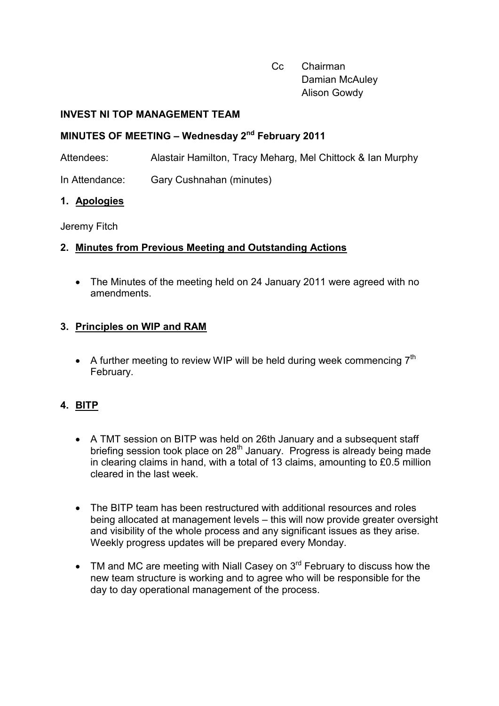Cc Chairman Damian McAuley Alison Gowdy

## <span id="page-9-0"></span>**INVEST NI TOP MANAGEMENT TEAM**

## **MINUTES OF MEETING – Wednesday 2nd February 2011**

Attendees: Alastair Hamilton, Tracy Meharg, Mel Chittock & Ian Murphy

In Attendance: Gary Cushnahan (minutes)

## **1. Apologies**

Jeremy Fitch

## **2. Minutes from Previous Meeting and Outstanding Actions**

• The Minutes of the meeting held on 24 January 2011 were agreed with no amendments.

## **3. Principles on WIP and RAM**

• A further meeting to review WIP will be held during week commencing  $7<sup>th</sup>$ February.

## **4. BITP**

- A TMT session on BITP was held on 26th January and a subsequent staff briefing session took place on 28<sup>th</sup> January. Progress is already being made in clearing claims in hand, with a total of 13 claims, amounting to £0.5 million cleared in the last week.
- The BITP team has been restructured with additional resources and roles being allocated at management levels – this will now provide greater oversight and visibility of the whole process and any significant issues as they arise. Weekly progress updates will be prepared every Monday.
- TM and MC are meeting with Niall Casey on  $3<sup>rd</sup>$  February to discuss how the new team structure is working and to agree who will be responsible for the day to day operational management of the process.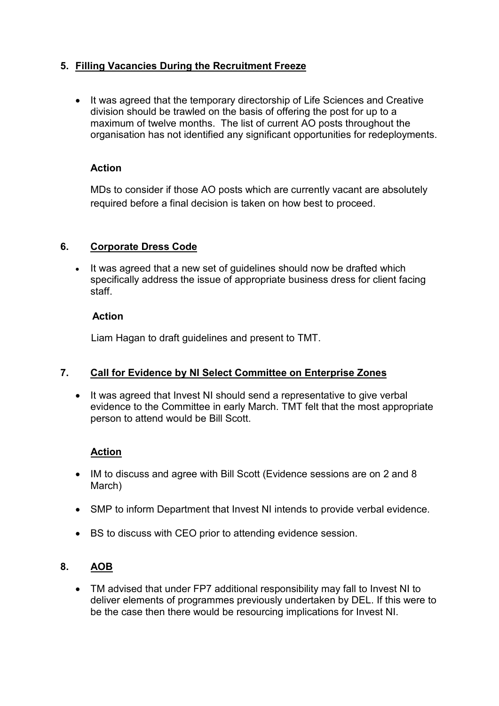## **5. Filling Vacancies During the Recruitment Freeze**

• It was agreed that the temporary directorship of Life Sciences and Creative division should be trawled on the basis of offering the post for up to a maximum of twelve months. The list of current AO posts throughout the organisation has not identified any significant opportunities for redeployments.

## **Action**

MDs to consider if those AO posts which are currently vacant are absolutely required before a final decision is taken on how best to proceed.

#### **6. Corporate Dress Code**

• It was agreed that a new set of guidelines should now be drafted which specifically address the issue of appropriate business dress for client facing staff.

### **Action**

Liam Hagan to draft guidelines and present to TMT.

#### **7. Call for Evidence by NI Select Committee on Enterprise Zones**

• It was agreed that Invest NI should send a representative to give verbal evidence to the Committee in early March. TMT felt that the most appropriate person to attend would be Bill Scott.

## **Action**

- IM to discuss and agree with Bill Scott (Evidence sessions are on 2 and 8 March)
- SMP to inform Department that Invest NI intends to provide verbal evidence.
- BS to discuss with CEO prior to attending evidence session.

#### **8. AOB**

• TM advised that under FP7 additional responsibility may fall to Invest NI to deliver elements of programmes previously undertaken by DEL. If this were to be the case then there would be resourcing implications for Invest NI.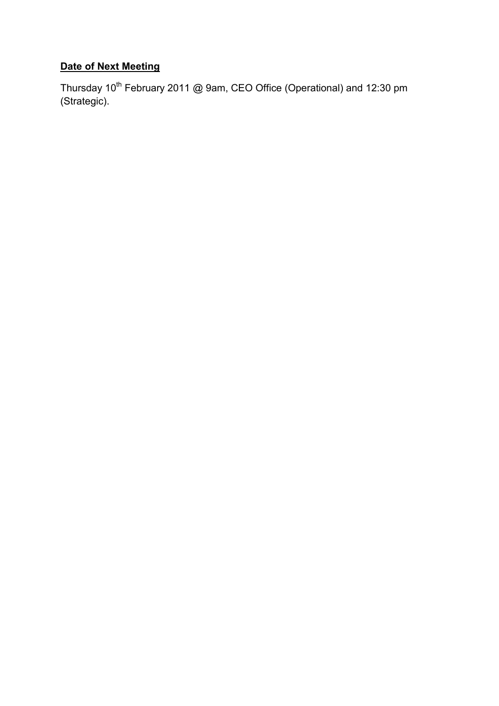# **Date of Next Meeting**

Thursday 10<sup>th</sup> February 2011 @ 9am, CEO Office (Operational) and 12:30 pm (Strategic).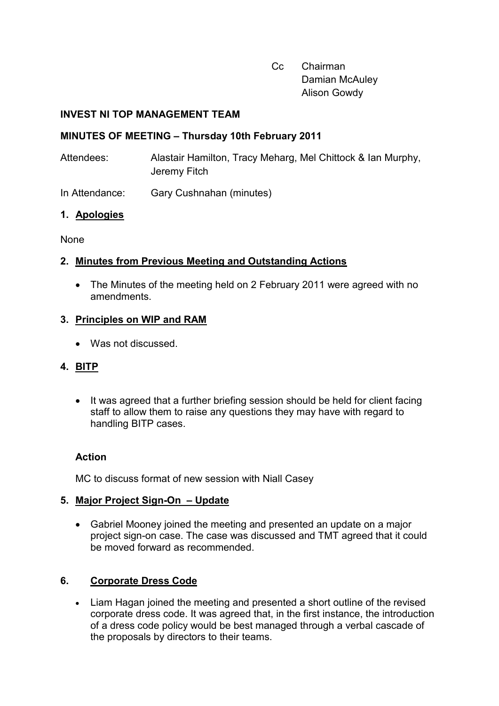Cc Chairman Damian McAuley Alison Gowdy

## <span id="page-12-0"></span>**INVEST NI TOP MANAGEMENT TEAM**

## **MINUTES OF MEETING – Thursday 10th February 2011**

Attendees: Alastair Hamilton, Tracy Meharg, Mel Chittock & Ian Murphy, Jeremy Fitch

In Attendance: Gary Cushnahan (minutes)

## **1. Apologies**

None

## **2. Minutes from Previous Meeting and Outstanding Actions**

• The Minutes of the meeting held on 2 February 2011 were agreed with no amendments.

## **3. Principles on WIP and RAM**

• Was not discussed.

## **4. BITP**

• It was agreed that a further briefing session should be held for client facing staff to allow them to raise any questions they may have with regard to handling BITP cases.

## **Action**

MC to discuss format of new session with Niall Casey

## **5. Major Project Sign-On – Update**

• Gabriel Mooney joined the meeting and presented an update on a major project sign-on case. The case was discussed and TMT agreed that it could be moved forward as recommended.

#### **6. Corporate Dress Code**

• Liam Hagan joined the meeting and presented a short outline of the revised corporate dress code. It was agreed that, in the first instance, the introduction of a dress code policy would be best managed through a verbal cascade of the proposals by directors to their teams.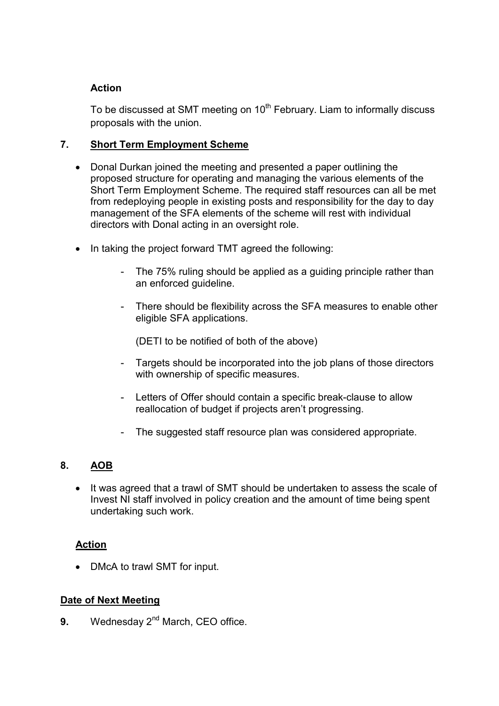## **Action**

To be discussed at SMT meeting on  $10<sup>th</sup>$  February. Liam to informally discuss proposals with the union.

#### **7. Short Term Employment Scheme**

- Donal Durkan joined the meeting and presented a paper outlining the proposed structure for operating and managing the various elements of the Short Term Employment Scheme. The required staff resources can all be met from redeploying people in existing posts and responsibility for the day to day management of the SFA elements of the scheme will rest with individual directors with Donal acting in an oversight role.
- In taking the project forward TMT agreed the following:
	- The 75% ruling should be applied as a guiding principle rather than an enforced guideline.
	- There should be flexibility across the SFA measures to enable other eligible SFA applications.

(DETI to be notified of both of the above)

- Targets should be incorporated into the job plans of those directors with ownership of specific measures.
- Letters of Offer should contain a specific break-clause to allow reallocation of budget if projects aren't progressing.
- The suggested staff resource plan was considered appropriate.

#### **8. AOB**

• It was agreed that a trawl of SMT should be undertaken to assess the scale of Invest NI staff involved in policy creation and the amount of time being spent undertaking such work.

## **Action**

• DMcA to trawl SMT for input.

## **Date of Next Meeting**

**9.** Wednesday 2<sup>nd</sup> March, CEO office.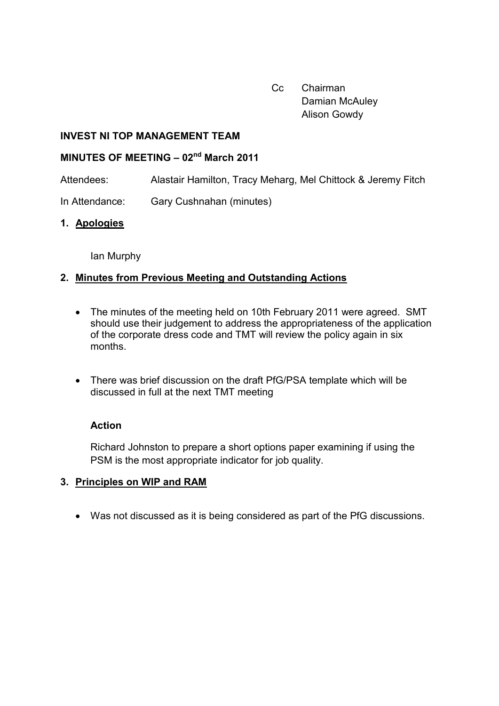Cc Chairman Damian McAuley Alison Gowdy

## <span id="page-14-0"></span>**INVEST NI TOP MANAGEMENT TEAM**

## **MINUTES OF MEETING – 02nd March 2011**

Attendees: Alastair Hamilton, Tracy Meharg, Mel Chittock & Jeremy Fitch

In Attendance: Gary Cushnahan (minutes)

### **1. Apologies**

Ian Murphy

## **2. Minutes from Previous Meeting and Outstanding Actions**

- The minutes of the meeting held on 10th February 2011 were agreed. SMT should use their judgement to address the appropriateness of the application of the corporate dress code and TMT will review the policy again in six months.
- There was brief discussion on the draft PfG/PSA template which will be discussed in full at the next TMT meeting

#### **Action**

Richard Johnston to prepare a short options paper examining if using the PSM is the most appropriate indicator for job quality.

## **3. Principles on WIP and RAM**

• Was not discussed as it is being considered as part of the PfG discussions.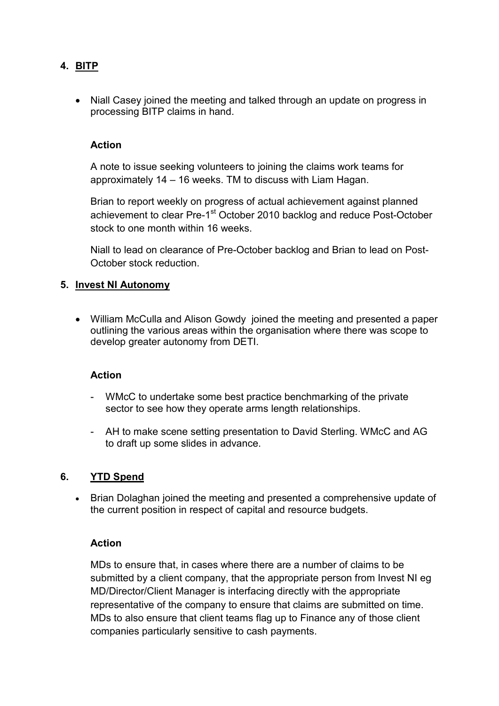## **4. BITP**

• Niall Casey joined the meeting and talked through an update on progress in processing BITP claims in hand.

#### **Action**

A note to issue seeking volunteers to joining the claims work teams for approximately 14 – 16 weeks. TM to discuss with Liam Hagan.

Brian to report weekly on progress of actual achievement against planned achievement to clear Pre-1<sup>st</sup> October 2010 backlog and reduce Post-October stock to one month within 16 weeks.

Niall to lead on clearance of Pre-October backlog and Brian to lead on Post-October stock reduction.

### **5. Invest NI Autonomy**

• William McCulla and Alison Gowdy joined the meeting and presented a paper outlining the various areas within the organisation where there was scope to develop greater autonomy from DETI.

#### **Action**

- WMcC to undertake some best practice benchmarking of the private sector to see how they operate arms length relationships.
- AH to make scene setting presentation to David Sterling. WMcC and AG to draft up some slides in advance.

#### **6. YTD Spend**

• Brian Dolaghan joined the meeting and presented a comprehensive update of the current position in respect of capital and resource budgets.

#### **Action**

MDs to ensure that, in cases where there are a number of claims to be submitted by a client company, that the appropriate person from Invest NI eg MD/Director/Client Manager is interfacing directly with the appropriate representative of the company to ensure that claims are submitted on time. MDs to also ensure that client teams flag up to Finance any of those client companies particularly sensitive to cash payments.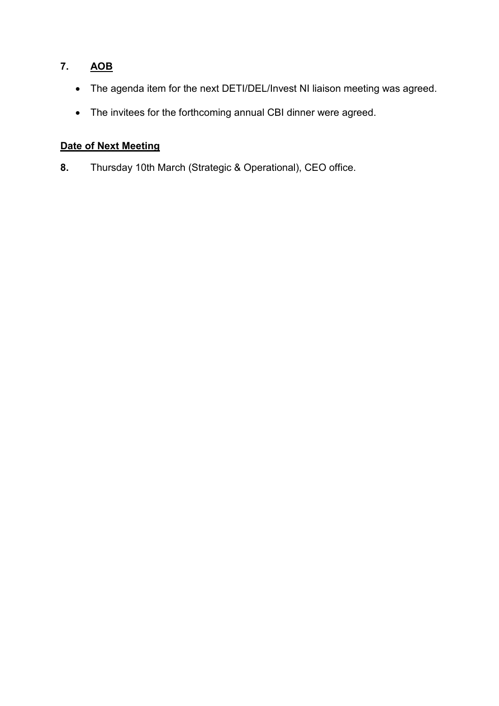# **7. AOB**

- The agenda item for the next DETI/DEL/Invest NI liaison meeting was agreed.
- The invitees for the forthcoming annual CBI dinner were agreed.

## **Date of Next Meeting**

**8.** Thursday 10th March (Strategic & Operational), CEO office.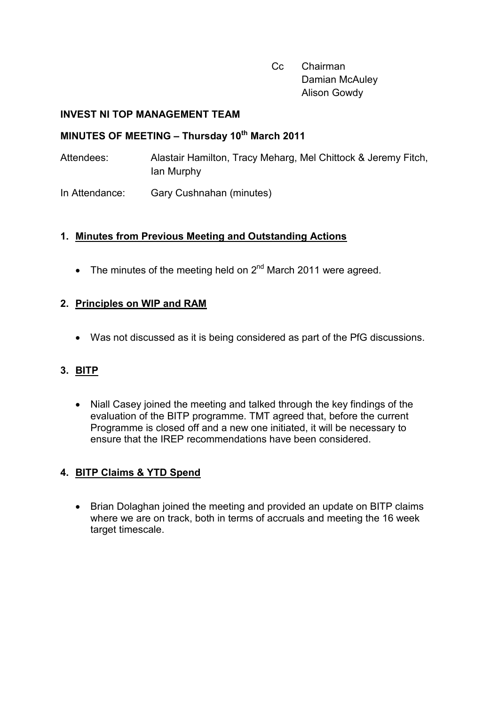Cc Chairman Damian McAuley Alison Gowdy

## <span id="page-17-0"></span>**INVEST NI TOP MANAGEMENT TEAM**

## **MINUTES OF MEETING – Thursday 10th March 2011**

Attendees: Alastair Hamilton, Tracy Meharg, Mel Chittock & Jeremy Fitch, Ian Murphy

In Attendance: Gary Cushnahan (minutes)

## **1. Minutes from Previous Meeting and Outstanding Actions**

• The minutes of the meeting held on  $2^{nd}$  March 2011 were agreed.

## **2. Principles on WIP and RAM**

• Was not discussed as it is being considered as part of the PfG discussions.

## **3. BITP**

• Niall Casey joined the meeting and talked through the key findings of the evaluation of the BITP programme. TMT agreed that, before the current Programme is closed off and a new one initiated, it will be necessary to ensure that the IREP recommendations have been considered.

## **4. BITP Claims & YTD Spend**

• Brian Dolaghan joined the meeting and provided an update on BITP claims where we are on track, both in terms of accruals and meeting the 16 week target timescale.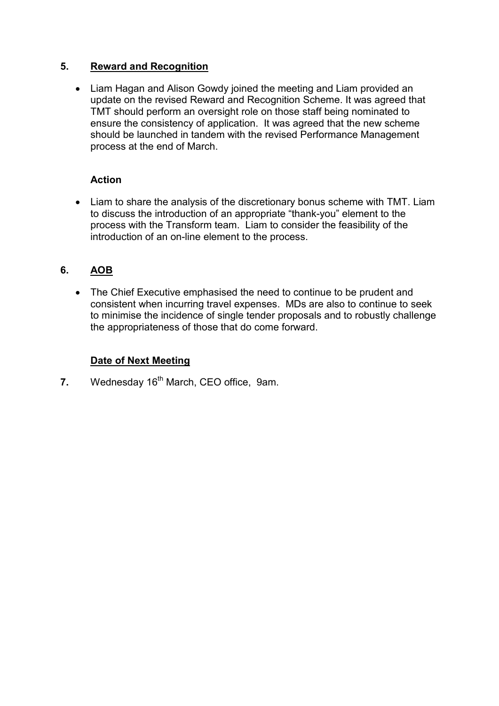## **5. Reward and Recognition**

• Liam Hagan and Alison Gowdy joined the meeting and Liam provided an update on the revised Reward and Recognition Scheme. It was agreed that TMT should perform an oversight role on those staff being nominated to ensure the consistency of application. It was agreed that the new scheme should be launched in tandem with the revised Performance Management process at the end of March.

## **Action**

• Liam to share the analysis of the discretionary bonus scheme with TMT. Liam to discuss the introduction of an appropriate "thank-you" element to the process with the Transform team. Liam to consider the feasibility of the introduction of an on-line element to the process.

## **6. AOB**

• The Chief Executive emphasised the need to continue to be prudent and consistent when incurring travel expenses. MDs are also to continue to seek to minimise the incidence of single tender proposals and to robustly challenge the appropriateness of those that do come forward.

## **Date of Next Meeting**

**7.** Wednesday 16<sup>th</sup> March, CEO office, 9am.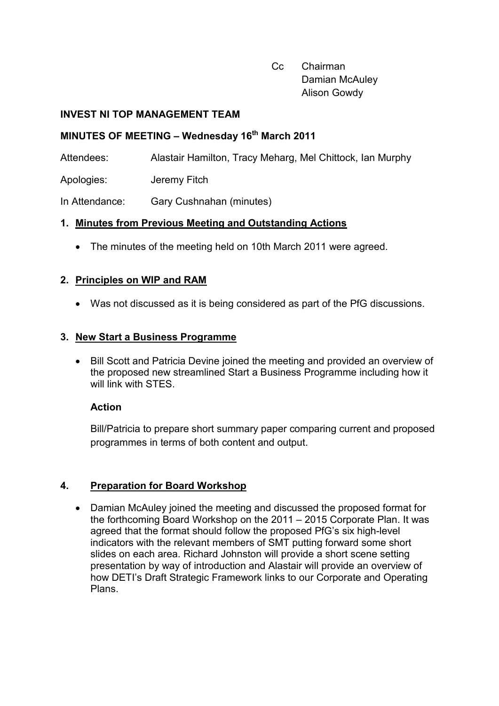Cc Chairman Damian McAuley Alison Gowdy

## <span id="page-19-0"></span>**INVEST NI TOP MANAGEMENT TEAM**

## **MINUTES OF MEETING – Wednesday 16th March 2011**

- Attendees: Alastair Hamilton, Tracy Meharg, Mel Chittock, Ian Murphy
- Apologies: Jeremy Fitch

In Attendance: Gary Cushnahan (minutes)

### **1. Minutes from Previous Meeting and Outstanding Actions**

• The minutes of the meeting held on 10th March 2011 were agreed.

### **2. Principles on WIP and RAM**

• Was not discussed as it is being considered as part of the PfG discussions.

#### **3. New Start a Business Programme**

• Bill Scott and Patricia Devine joined the meeting and provided an overview of the proposed new streamlined Start a Business Programme including how it will link with STFS

#### **Action**

Bill/Patricia to prepare short summary paper comparing current and proposed programmes in terms of both content and output.

#### **4. Preparation for Board Workshop**

• Damian McAuley joined the meeting and discussed the proposed format for the forthcoming Board Workshop on the 2011 – 2015 Corporate Plan. It was agreed that the format should follow the proposed PfG's six high-level indicators with the relevant members of SMT putting forward some short slides on each area. Richard Johnston will provide a short scene setting presentation by way of introduction and Alastair will provide an overview of how DETI's Draft Strategic Framework links to our Corporate and Operating Plans.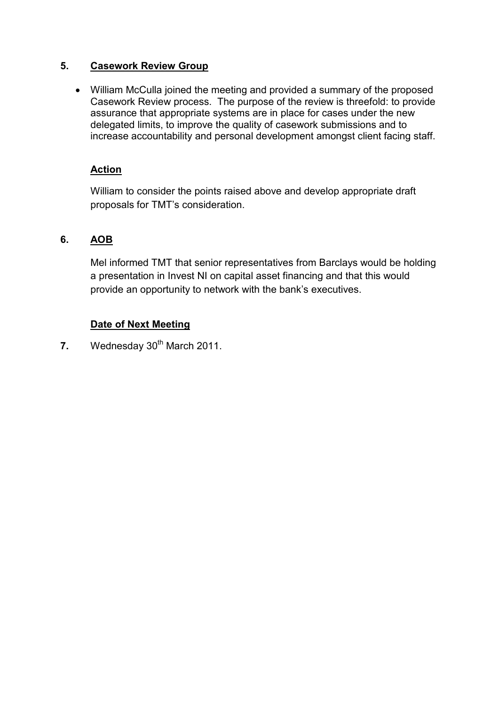## **5. Casework Review Group**

• William McCulla joined the meeting and provided a summary of the proposed Casework Review process. The purpose of the review is threefold: to provide assurance that appropriate systems are in place for cases under the new delegated limits, to improve the quality of casework submissions and to increase accountability and personal development amongst client facing staff.

## **Action**

William to consider the points raised above and develop appropriate draft proposals for TMT's consideration.

## **6. AOB**

Mel informed TMT that senior representatives from Barclays would be holding a presentation in Invest NI on capital asset financing and that this would provide an opportunity to network with the bank's executives.

### **Date of Next Meeting**

**7.** Wednesday 30<sup>th</sup> March 2011.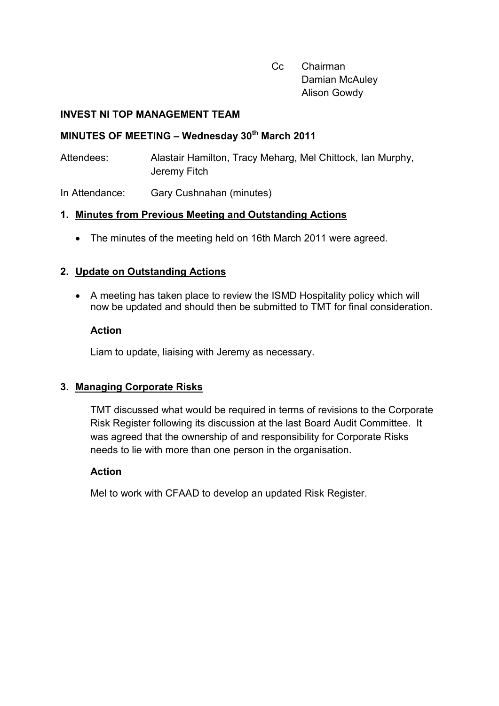Cc Chairman Damian McAuley Alison Gowdy

### <span id="page-21-0"></span>**INVEST NI TOP MANAGEMENT TEAM**

## **MINUTES OF MEETING – Wednesday 30th March 2011**

Attendees: Alastair Hamilton, Tracy Meharg, Mel Chittock, Ian Murphy, Jeremy Fitch

In Attendance: Gary Cushnahan (minutes)

## **1. Minutes from Previous Meeting and Outstanding Actions**

• The minutes of the meeting held on 16th March 2011 were agreed.

## **2. Update on Outstanding Actions**

• A meeting has taken place to review the ISMD Hospitality policy which will now be updated and should then be submitted to TMT for final consideration.

## **Action**

Liam to update, liaising with Jeremy as necessary.

## **3. Managing Corporate Risks**

TMT discussed what would be required in terms of revisions to the Corporate Risk Register following its discussion at the last Board Audit Committee. It was agreed that the ownership of and responsibility for Corporate Risks needs to lie with more than one person in the organisation.

## **Action**

Mel to work with CFAAD to develop an updated Risk Register.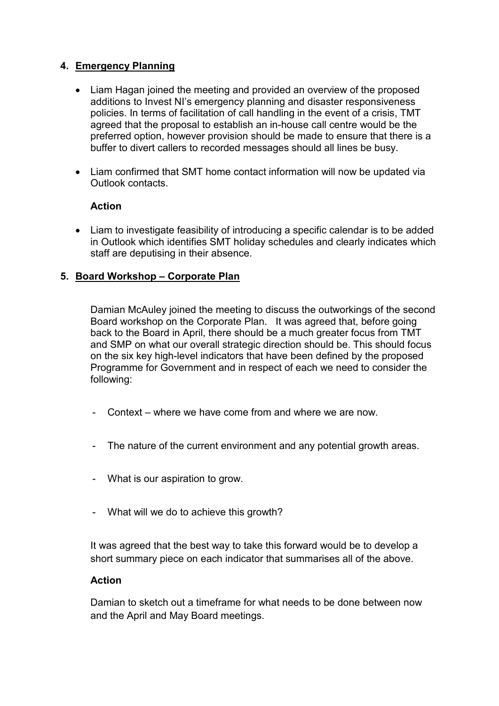## **4. Emergency Planning**

- Liam Hagan joined the meeting and provided an overview of the proposed additions to Invest NI's emergency planning and disaster responsiveness policies. In terms of facilitation of call handling in the event of a crisis, TMT agreed that the proposal to establish an in-house call centre would be the preferred option, however provision should be made to ensure that there is a buffer to divert callers to recorded messages should all lines be busy.
- Liam confirmed that SMT home contact information will now be updated via Outlook contacts.

## **Action**

• Liam to investigate feasibility of introducing a specific calendar is to be added in Outlook which identifies SMT holiday schedules and clearly indicates which staff are deputising in their absence.

## **5. Board Workshop – Corporate Plan**

Damian McAuley joined the meeting to discuss the outworkings of the second Board workshop on the Corporate Plan. It was agreed that, before going back to the Board in April, there should be a much greater focus from TMT and SMP on what our overall strategic direction should be. This should focus on the six key high-level indicators that have been defined by the proposed Programme for Government and in respect of each we need to consider the following:

- Context where we have come from and where we are now.
- The nature of the current environment and any potential growth areas.
- What is our aspiration to grow.
- What will we do to achieve this growth?

It was agreed that the best way to take this forward would be to develop a short summary piece on each indicator that summarises all of the above.

## **Action**

Damian to sketch out a timeframe for what needs to be done between now and the April and May Board meetings.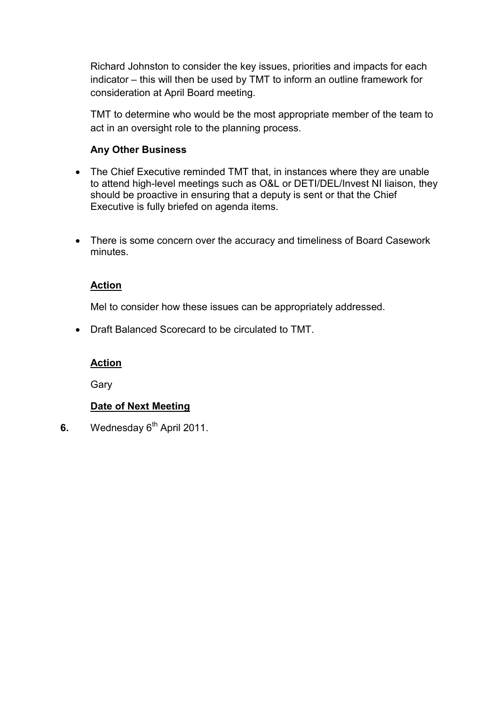Richard Johnston to consider the key issues, priorities and impacts for each indicator – this will then be used by TMT to inform an outline framework for consideration at April Board meeting.

TMT to determine who would be the most appropriate member of the team to act in an oversight role to the planning process.

## **Any Other Business**

- The Chief Executive reminded TMT that, in instances where they are unable to attend high-level meetings such as O&L or DETI/DEL/Invest NI liaison, they should be proactive in ensuring that a deputy is sent or that the Chief Executive is fully briefed on agenda items.
- There is some concern over the accuracy and timeliness of Board Casework minutes.

## **Action**

Mel to consider how these issues can be appropriately addressed.

• Draft Balanced Scorecard to be circulated to TMT.

## **Action**

Gary

## **Date of Next Meeting**

**6.** Wednesday 6<sup>th</sup> April 2011.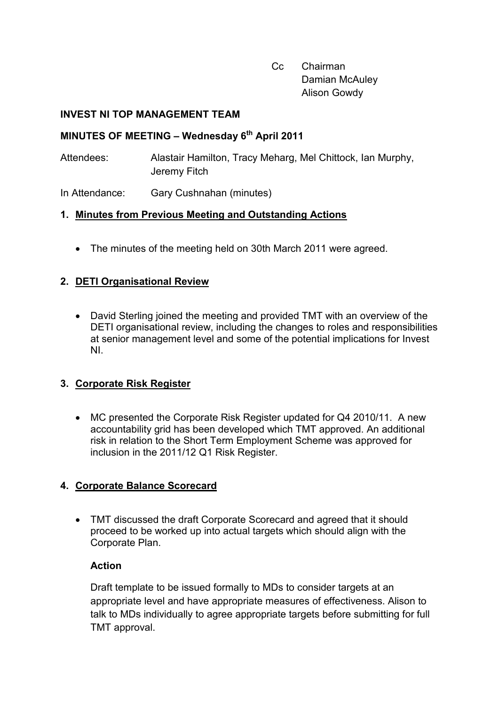Cc Chairman Damian McAuley Alison Gowdy

## <span id="page-24-0"></span>**INVEST NI TOP MANAGEMENT TEAM**

## **MINUTES OF MEETING – Wednesday 6th April 2011**

Attendees: Alastair Hamilton, Tracy Meharg, Mel Chittock, Ian Murphy, Jeremy Fitch

In Attendance: Gary Cushnahan (minutes)

### **1. Minutes from Previous Meeting and Outstanding Actions**

• The minutes of the meeting held on 30th March 2011 were agreed.

## **2. DETI Organisational Review**

• David Sterling joined the meeting and provided TMT with an overview of the DETI organisational review, including the changes to roles and responsibilities at senior management level and some of the potential implications for Invest NI.

## **3. Corporate Risk Register**

• MC presented the Corporate Risk Register updated for Q4 2010/11. A new accountability grid has been developed which TMT approved. An additional risk in relation to the Short Term Employment Scheme was approved for inclusion in the 2011/12 Q1 Risk Register.

## **4. Corporate Balance Scorecard**

• TMT discussed the draft Corporate Scorecard and agreed that it should proceed to be worked up into actual targets which should align with the Corporate Plan.

## **Action**

Draft template to be issued formally to MDs to consider targets at an appropriate level and have appropriate measures of effectiveness. Alison to talk to MDs individually to agree appropriate targets before submitting for full TMT approval.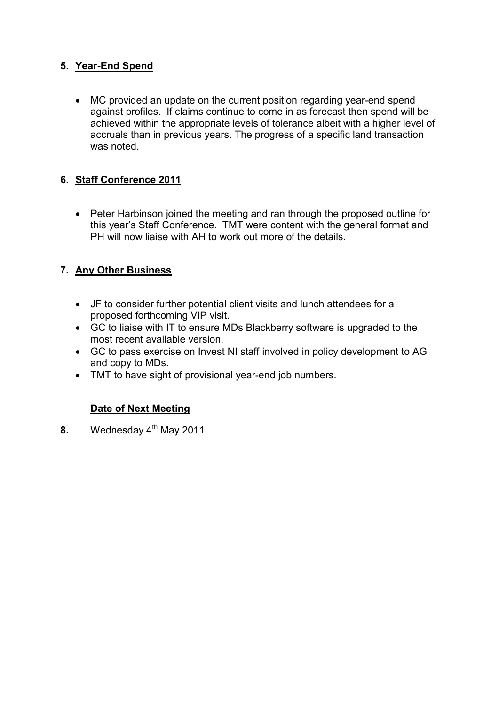## **5. Year-End Spend**

• MC provided an update on the current position regarding year-end spend against profiles. If claims continue to come in as forecast then spend will be achieved within the appropriate levels of tolerance albeit with a higher level of accruals than in previous years. The progress of a specific land transaction was noted.

## **6. Staff Conference 2011**

• Peter Harbinson joined the meeting and ran through the proposed outline for this year's Staff Conference. TMT were content with the general format and PH will now liaise with AH to work out more of the details.

## **7. Any Other Business**

- JF to consider further potential client visits and lunch attendees for a proposed forthcoming VIP visit.
- GC to liaise with IT to ensure MDs Blackberry software is upgraded to the most recent available version.
- GC to pass exercise on Invest NI staff involved in policy development to AG and copy to MDs.
- TMT to have sight of provisional year-end job numbers.

## **Date of Next Meeting**

**8.** Wednesday 4<sup>th</sup> May 2011.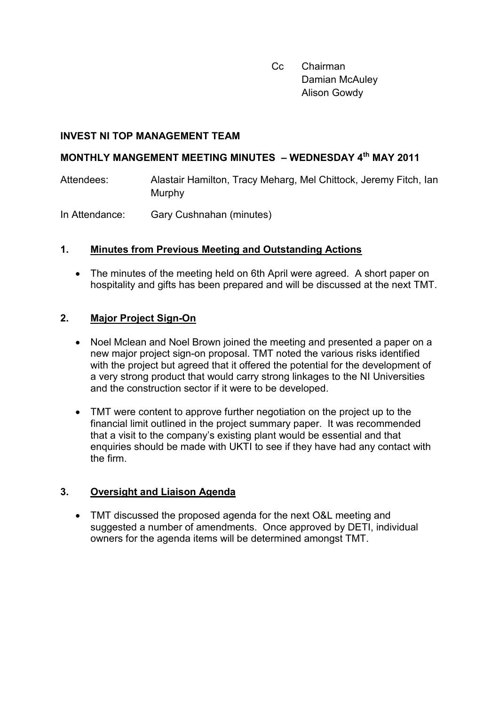Cc Chairman Damian McAuley Alison Gowdy

## <span id="page-26-0"></span>**INVEST NI TOP MANAGEMENT TEAM**

## **MONTHLY MANGEMENT MEETING MINUTES – WEDNESDAY 4th MAY 2011**

Attendees: Alastair Hamilton, Tracy Meharg, Mel Chittock, Jeremy Fitch, Ian **Murphy** 

In Attendance: Gary Cushnahan (minutes)

## **1. Minutes from Previous Meeting and Outstanding Actions**

• The minutes of the meeting held on 6th April were agreed. A short paper on hospitality and gifts has been prepared and will be discussed at the next TMT.

#### **2. Major Project Sign-On**

- Noel Mclean and Noel Brown joined the meeting and presented a paper on a new major project sign-on proposal. TMT noted the various risks identified with the project but agreed that it offered the potential for the development of a very strong product that would carry strong linkages to the NI Universities and the construction sector if it were to be developed.
- TMT were content to approve further negotiation on the project up to the financial limit outlined in the project summary paper. It was recommended that a visit to the company's existing plant would be essential and that enquiries should be made with UKTI to see if they have had any contact with the firm.

## **3. Oversight and Liaison Agenda**

• TMT discussed the proposed agenda for the next O&L meeting and suggested a number of amendments. Once approved by DETI, individual owners for the agenda items will be determined amongst TMT.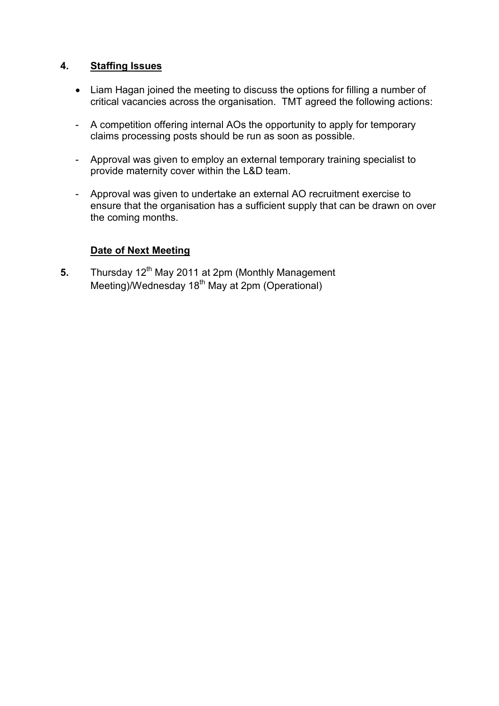## **4. Staffing Issues**

- Liam Hagan joined the meeting to discuss the options for filling a number of critical vacancies across the organisation. TMT agreed the following actions:
- A competition offering internal AOs the opportunity to apply for temporary claims processing posts should be run as soon as possible.
- Approval was given to employ an external temporary training specialist to provide maternity cover within the L&D team.
- Approval was given to undertake an external AO recruitment exercise to ensure that the organisation has a sufficient supply that can be drawn on over the coming months.

## **Date of Next Meeting**

**5.** Thursday 12<sup>th</sup> May 2011 at 2pm (Monthly Management Meeting)/Wednesday 18<sup>th</sup> May at 2pm (Operational)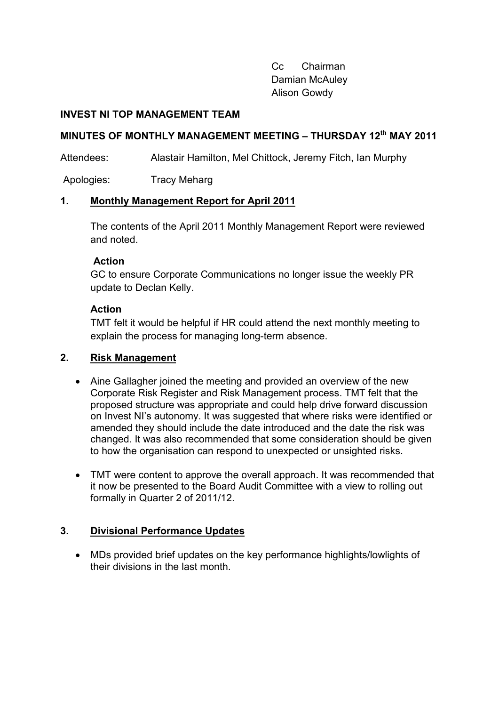Cc Chairman Damian McAuley Alison Gowdy

## <span id="page-28-0"></span>**INVEST NI TOP MANAGEMENT TEAM**

## **MINUTES OF MONTHLY MANAGEMENT MEETING – THURSDAY 12th MAY 2011**

Attendees: Alastair Hamilton, Mel Chittock, Jeremy Fitch, Ian Murphy

Apologies: Tracy Meharg

## **1. Monthly Management Report for April 2011**

The contents of the April 2011 Monthly Management Report were reviewed and noted.

### **Action**

GC to ensure Corporate Communications no longer issue the weekly PR update to Declan Kelly.

### **Action**

TMT felt it would be helpful if HR could attend the next monthly meeting to explain the process for managing long-term absence.

## **2. Risk Management**

- Aine Gallagher joined the meeting and provided an overview of the new Corporate Risk Register and Risk Management process. TMT felt that the proposed structure was appropriate and could help drive forward discussion on Invest NI's autonomy. It was suggested that where risks were identified or amended they should include the date introduced and the date the risk was changed. It was also recommended that some consideration should be given to how the organisation can respond to unexpected or unsighted risks.
- TMT were content to approve the overall approach. It was recommended that it now be presented to the Board Audit Committee with a view to rolling out formally in Quarter 2 of 2011/12.

## **3. Divisional Performance Updates**

• MDs provided brief updates on the key performance highlights/lowlights of their divisions in the last month.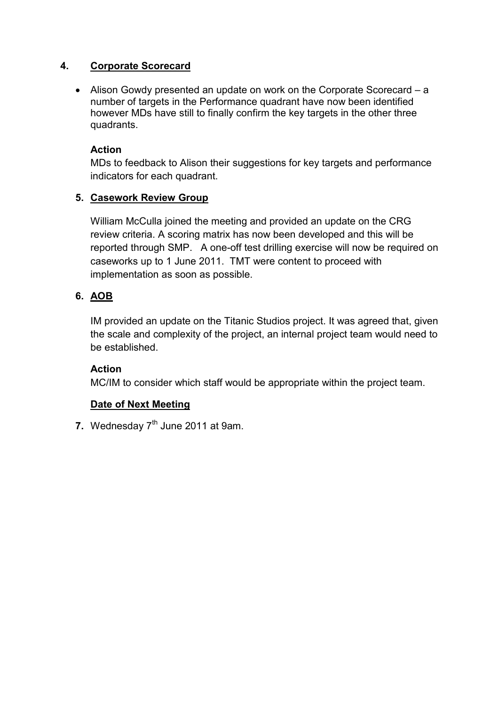## **4. Corporate Scorecard**

• Alison Gowdy presented an update on work on the Corporate Scorecard – a number of targets in the Performance quadrant have now been identified however MDs have still to finally confirm the key targets in the other three quadrants.

## **Action**

MDs to feedback to Alison their suggestions for key targets and performance indicators for each quadrant.

## **5. Casework Review Group**

William McCulla joined the meeting and provided an update on the CRG review criteria. A scoring matrix has now been developed and this will be reported through SMP. A one-off test drilling exercise will now be required on caseworks up to 1 June 2011. TMT were content to proceed with implementation as soon as possible.

## **6. AOB**

IM provided an update on the Titanic Studios project. It was agreed that, given the scale and complexity of the project, an internal project team would need to be established.

## **Action**

MC/IM to consider which staff would be appropriate within the project team.

## **Date of Next Meeting**

**7.** Wednesday 7<sup>th</sup> June 2011 at 9am.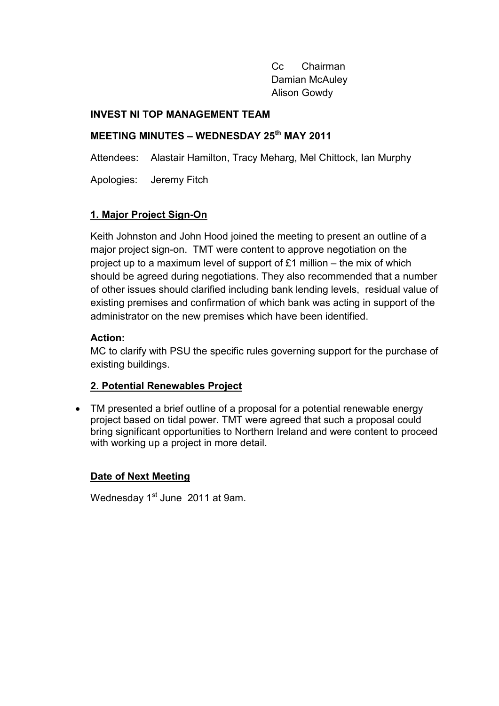Cc Chairman Damian McAuley Alison Gowdy

### <span id="page-30-0"></span>**INVEST NI TOP MANAGEMENT TEAM**

## **MEETING MINUTES – WEDNESDAY 25th MAY 2011**

Attendees: Alastair Hamilton, Tracy Meharg, Mel Chittock, Ian Murphy

Apologies: Jeremy Fitch

## **1. Major Project Sign-On**

Keith Johnston and John Hood joined the meeting to present an outline of a major project sign-on. TMT were content to approve negotiation on the project up to a maximum level of support of £1 million – the mix of which should be agreed during negotiations. They also recommended that a number of other issues should clarified including bank lending levels, residual value of existing premises and confirmation of which bank was acting in support of the administrator on the new premises which have been identified.

### **Action:**

MC to clarify with PSU the specific rules governing support for the purchase of existing buildings.

## **2. Potential Renewables Project**

• TM presented a brief outline of a proposal for a potential renewable energy project based on tidal power. TMT were agreed that such a proposal could bring significant opportunities to Northern Ireland and were content to proceed with working up a project in more detail.

## **Date of Next Meeting**

Wednesday 1<sup>st</sup> June 2011 at 9am.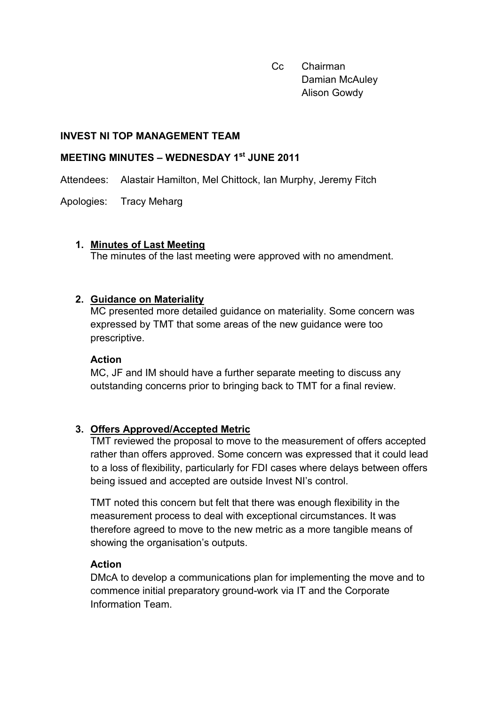Cc Chairman Damian McAuley Alison Gowdy

## <span id="page-31-0"></span>**INVEST NI TOP MANAGEMENT TEAM**

## **MEETING MINUTES – WEDNESDAY 1st JUNE 2011**

Attendees: Alastair Hamilton, Mel Chittock, Ian Murphy, Jeremy Fitch

Apologies: Tracy Meharg

### **1. Minutes of Last Meeting**

The minutes of the last meeting were approved with no amendment.

## **2. Guidance on Materiality**

MC presented more detailed guidance on materiality. Some concern was expressed by TMT that some areas of the new guidance were too prescriptive.

#### **Action**

MC, JF and IM should have a further separate meeting to discuss any outstanding concerns prior to bringing back to TMT for a final review.

## **3. Offers Approved/Accepted Metric**

TMT reviewed the proposal to move to the measurement of offers accepted rather than offers approved. Some concern was expressed that it could lead to a loss of flexibility, particularly for FDI cases where delays between offers being issued and accepted are outside Invest NI's control.

TMT noted this concern but felt that there was enough flexibility in the measurement process to deal with exceptional circumstances. It was therefore agreed to move to the new metric as a more tangible means of showing the organisation's outputs.

## **Action**

DMcA to develop a communications plan for implementing the move and to commence initial preparatory ground-work via IT and the Corporate Information Team.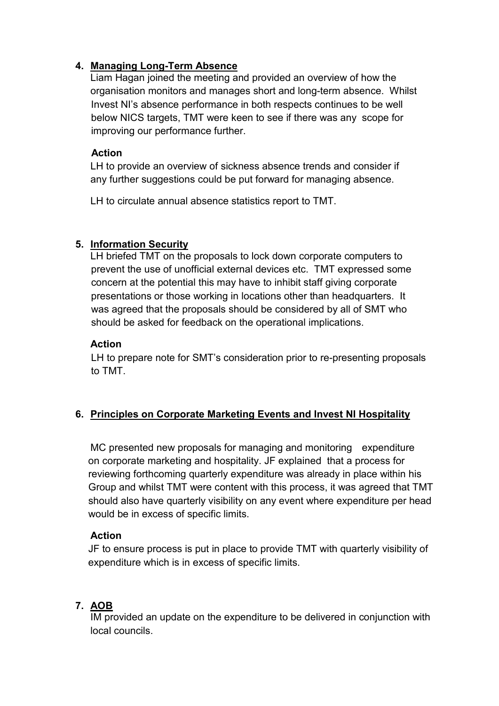## **4. Managing Long-Term Absence**

Liam Hagan joined the meeting and provided an overview of how the organisation monitors and manages short and long-term absence. Whilst Invest NI's absence performance in both respects continues to be well below NICS targets, TMT were keen to see if there was any scope for improving our performance further.

## **Action**

LH to provide an overview of sickness absence trends and consider if any further suggestions could be put forward for managing absence.

LH to circulate annual absence statistics report to TMT.

## **5. Information Security**

LH briefed TMT on the proposals to lock down corporate computers to prevent the use of unofficial external devices etc. TMT expressed some concern at the potential this may have to inhibit staff giving corporate presentations or those working in locations other than headquarters. It was agreed that the proposals should be considered by all of SMT who should be asked for feedback on the operational implications.

## **Action**

 LH to prepare note for SMT's consideration prior to re-presenting proposals to TMT.

## **6. Principles on Corporate Marketing Events and Invest NI Hospitality**

MC presented new proposals for managing and monitoring expenditure on corporate marketing and hospitality. JF explained that a process for reviewing forthcoming quarterly expenditure was already in place within his Group and whilst TMT were content with this process, it was agreed that TMT should also have quarterly visibility on any event where expenditure per head would be in excess of specific limits.

## **Action**

 JF to ensure process is put in place to provide TMT with quarterly visibility of expenditure which is in excess of specific limits.

## **7. AOB**

IM provided an update on the expenditure to be delivered in conjunction with local councils.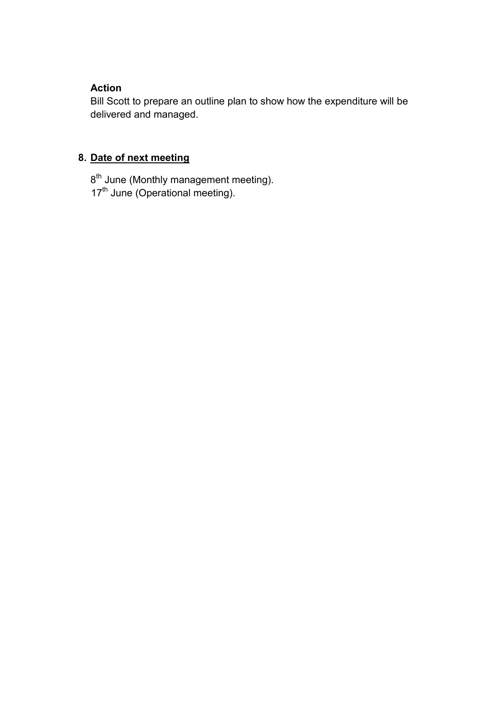## **Action**

Bill Scott to prepare an outline plan to show how the expenditure will be delivered and managed.

## **8. Date of next meeting**

8<sup>th</sup> June (Monthly management meeting). 17<sup>th</sup> June (Operational meeting).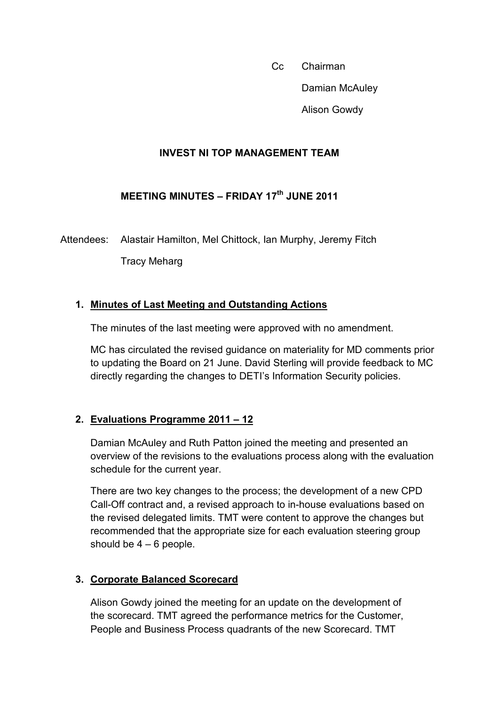Cc Chairman

Damian McAuley

Alison Gowdy

## <span id="page-34-0"></span>**INVEST NI TOP MANAGEMENT TEAM**

## **MEETING MINUTES – FRIDAY 17th JUNE 2011**

Attendees: Alastair Hamilton, Mel Chittock, Ian Murphy, Jeremy Fitch

Tracy Meharg

## **1. Minutes of Last Meeting and Outstanding Actions**

The minutes of the last meeting were approved with no amendment.

MC has circulated the revised guidance on materiality for MD comments prior to updating the Board on 21 June. David Sterling will provide feedback to MC directly regarding the changes to DETI's Information Security policies.

## **2. Evaluations Programme 2011 – 12**

Damian McAuley and Ruth Patton joined the meeting and presented an overview of the revisions to the evaluations process along with the evaluation schedule for the current year.

There are two key changes to the process; the development of a new CPD Call-Off contract and, a revised approach to in-house evaluations based on the revised delegated limits. TMT were content to approve the changes but recommended that the appropriate size for each evaluation steering group should be  $4 - 6$  people.

## **3. Corporate Balanced Scorecard**

Alison Gowdy joined the meeting for an update on the development of the scorecard. TMT agreed the performance metrics for the Customer, People and Business Process quadrants of the new Scorecard. TMT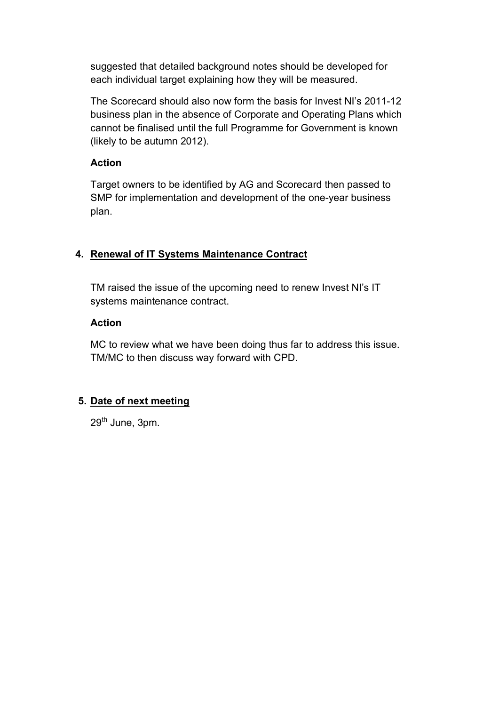suggested that detailed background notes should be developed for each individual target explaining how they will be measured.

The Scorecard should also now form the basis for Invest NI's 2011-12 business plan in the absence of Corporate and Operating Plans which cannot be finalised until the full Programme for Government is known (likely to be autumn 2012).

## **Action**

Target owners to be identified by AG and Scorecard then passed to SMP for implementation and development of the one-year business plan.

## **4. Renewal of IT Systems Maintenance Contract**

TM raised the issue of the upcoming need to renew Invest NI's IT systems maintenance contract.

## **Action**

MC to review what we have been doing thus far to address this issue. TM/MC to then discuss way forward with CPD.

## **5. Date of next meeting**

29<sup>th</sup> June, 3pm.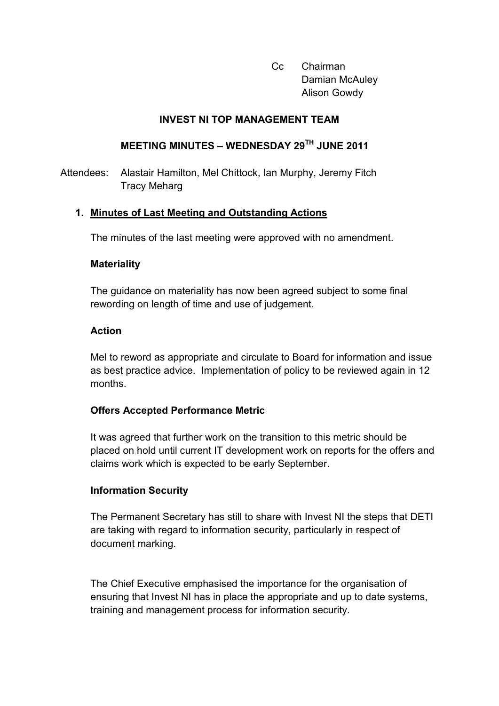Cc Chairman Damian McAuley Alison Gowdy

#### **INVEST NI TOP MANAGEMENT TEAM**

# **MEETING MINUTES – WEDNESDAY 29TH JUNE 2011**

Attendees: Alastair Hamilton, Mel Chittock, Ian Murphy, Jeremy Fitch Tracy Meharg

# **1. Minutes of Last Meeting and Outstanding Actions**

The minutes of the last meeting were approved with no amendment.

#### **Materiality**

The guidance on materiality has now been agreed subject to some final rewording on length of time and use of judgement.

# **Action**

Mel to reword as appropriate and circulate to Board for information and issue as best practice advice. Implementation of policy to be reviewed again in 12 months.

# **Offers Accepted Performance Metric**

It was agreed that further work on the transition to this metric should be placed on hold until current IT development work on reports for the offers and claims work which is expected to be early September.

# **Information Security**

The Permanent Secretary has still to share with Invest NI the steps that DETI are taking with regard to information security, particularly in respect of document marking.

The Chief Executive emphasised the importance for the organisation of ensuring that Invest NI has in place the appropriate and up to date systems, training and management process for information security.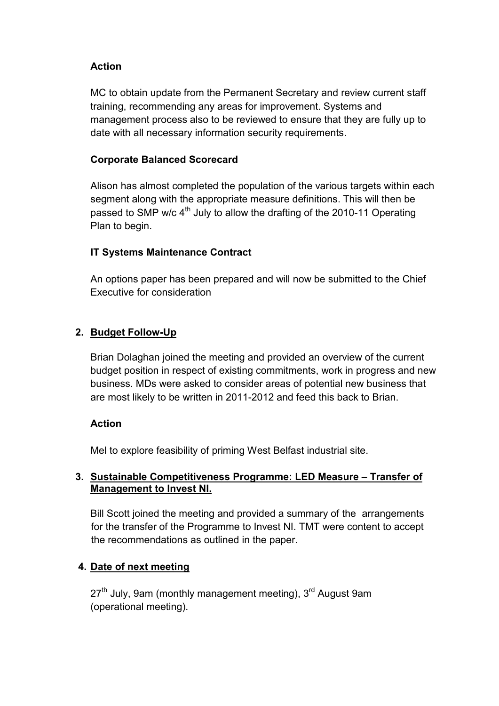# **Action**

MC to obtain update from the Permanent Secretary and review current staff training, recommending any areas for improvement. Systems and management process also to be reviewed to ensure that they are fully up to date with all necessary information security requirements.

# **Corporate Balanced Scorecard**

Alison has almost completed the population of the various targets within each segment along with the appropriate measure definitions. This will then be passed to SMP w/c 4<sup>th</sup> July to allow the drafting of the 2010-11 Operating Plan to begin.

# **IT Systems Maintenance Contract**

An options paper has been prepared and will now be submitted to the Chief Executive for consideration

# **2. Budget Follow-Up**

Brian Dolaghan joined the meeting and provided an overview of the current budget position in respect of existing commitments, work in progress and new business. MDs were asked to consider areas of potential new business that are most likely to be written in 2011-2012 and feed this back to Brian.

# **Action**

Mel to explore feasibility of priming West Belfast industrial site.

# **3. Sustainable Competitiveness Programme: LED Measure – Transfer of Management to Invest NI.**

Bill Scott joined the meeting and provided a summary of the arrangements for the transfer of the Programme to Invest NI. TMT were content to accept the recommendations as outlined in the paper.

# **4. Date of next meeting**

27<sup>th</sup> July, 9am (monthly management meeting), 3<sup>rd</sup> August 9am (operational meeting).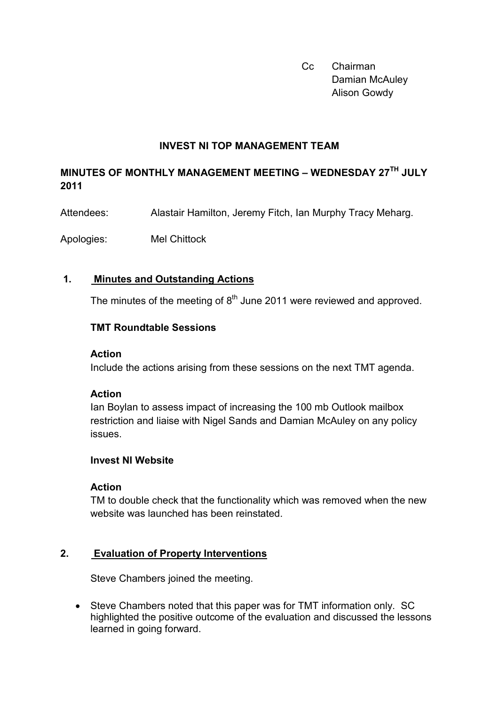Cc Chairman Damian McAuley Alison Gowdy

#### **INVEST NI TOP MANAGEMENT TEAM**

# **MINUTES OF MONTHLY MANAGEMENT MEETING – WEDNESDAY 27TH JULY 2011**

Attendees: Alastair Hamilton, Jeremy Fitch, Ian Murphy Tracy Meharg.

Apologies: Mel Chittock

# **1. Minutes and Outstanding Actions**

The minutes of the meeting of  $8<sup>th</sup>$  June 2011 were reviewed and approved.

# **TMT Roundtable Sessions**

#### **Action**

Include the actions arising from these sessions on the next TMT agenda.

# **Action**

Ian Boylan to assess impact of increasing the 100 mb Outlook mailbox restriction and liaise with Nigel Sands and Damian McAuley on any policy issues.

#### **Invest NI Website**

# **Action**

TM to double check that the functionality which was removed when the new website was launched has been reinstated.

# **2. Evaluation of Property Interventions**

Steve Chambers joined the meeting.

• Steve Chambers noted that this paper was for TMT information only. SC highlighted the positive outcome of the evaluation and discussed the lessons learned in going forward.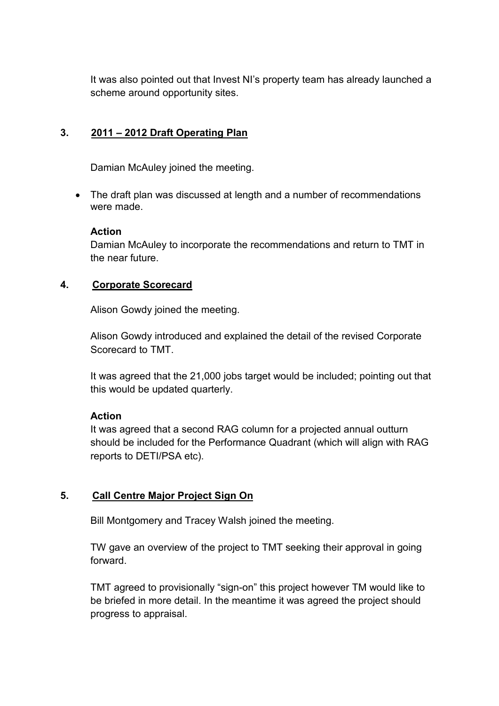It was also pointed out that Invest NI's property team has already launched a scheme around opportunity sites.

# **3. 2011 – 2012 Draft Operating Plan**

Damian McAuley joined the meeting.

• The draft plan was discussed at length and a number of recommendations were made.

#### **Action**

Damian McAuley to incorporate the recommendations and return to TMT in the near future.

# **4. Corporate Scorecard**

Alison Gowdy joined the meeting.

Alison Gowdy introduced and explained the detail of the revised Corporate Scorecard to TMT.

It was agreed that the 21,000 jobs target would be included; pointing out that this would be updated quarterly.

#### **Action**

It was agreed that a second RAG column for a projected annual outturn should be included for the Performance Quadrant (which will align with RAG reports to DETI/PSA etc).

# **5. Call Centre Major Project Sign On**

Bill Montgomery and Tracey Walsh joined the meeting.

TW gave an overview of the project to TMT seeking their approval in going forward.

TMT agreed to provisionally "sign-on" this project however TM would like to be briefed in more detail. In the meantime it was agreed the project should progress to appraisal.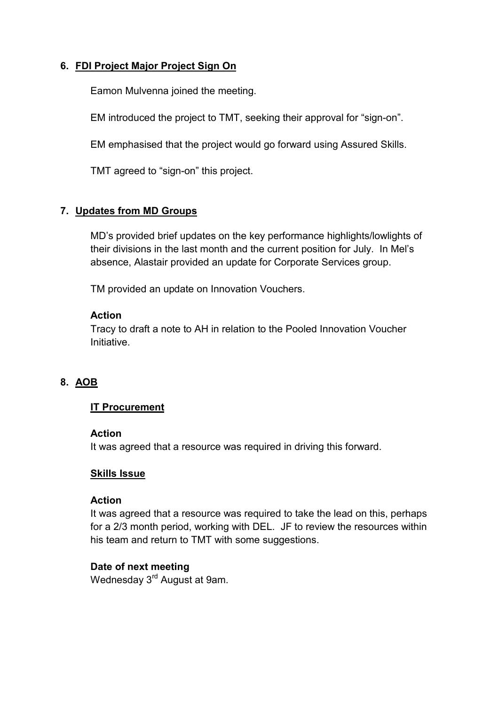# **6. FDI Project Major Project Sign On**

Eamon Mulvenna joined the meeting.

EM introduced the project to TMT, seeking their approval for "sign-on".

EM emphasised that the project would go forward using Assured Skills.

TMT agreed to "sign-on" this project.

# **7. Updates from MD Groups**

MD's provided brief updates on the key performance highlights/lowlights of their divisions in the last month and the current position for July. In Mel's absence, Alastair provided an update for Corporate Services group.

TM provided an update on Innovation Vouchers.

# **Action**

Tracy to draft a note to AH in relation to the Pooled Innovation Voucher Initiative.

# **8. AOB**

# **IT Procurement**

#### **Action**

It was agreed that a resource was required in driving this forward.

# **Skills Issue**

# **Action**

It was agreed that a resource was required to take the lead on this, perhaps for a 2/3 month period, working with DEL. JF to review the resources within his team and return to TMT with some suggestions.

# **Date of next meeting**

Wednesday 3<sup>rd</sup> August at 9am.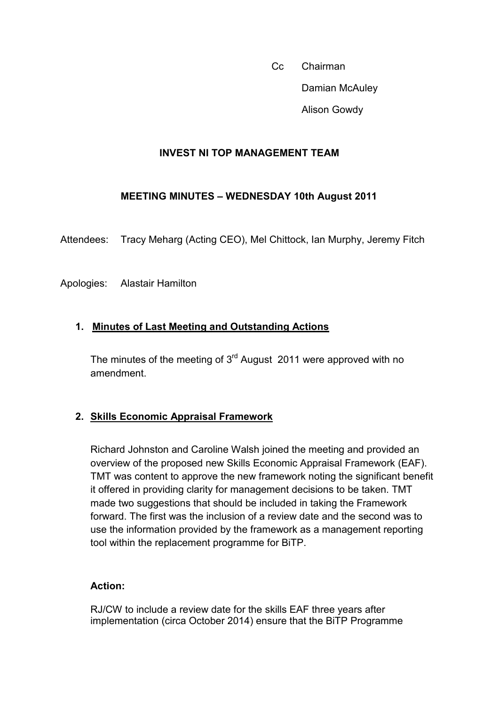Damian McAuley

Alison Gowdy

# **INVEST NI TOP MANAGEMENT TEAM**

# **MEETING MINUTES – WEDNESDAY 10th August 2011**

Attendees: Tracy Meharg (Acting CEO), Mel Chittock, Ian Murphy, Jeremy Fitch

Apologies: Alastair Hamilton

# **1. Minutes of Last Meeting and Outstanding Actions**

The minutes of the meeting of  $3<sup>rd</sup>$  August 2011 were approved with no amendment.

# **2. Skills Economic Appraisal Framework**

Richard Johnston and Caroline Walsh joined the meeting and provided an overview of the proposed new Skills Economic Appraisal Framework (EAF). TMT was content to approve the new framework noting the significant benefit it offered in providing clarity for management decisions to be taken. TMT made two suggestions that should be included in taking the Framework forward. The first was the inclusion of a review date and the second was to use the information provided by the framework as a management reporting tool within the replacement programme for BiTP.

# **Action:**

RJ/CW to include a review date for the skills EAF three years after implementation (circa October 2014) ensure that the BiTP Programme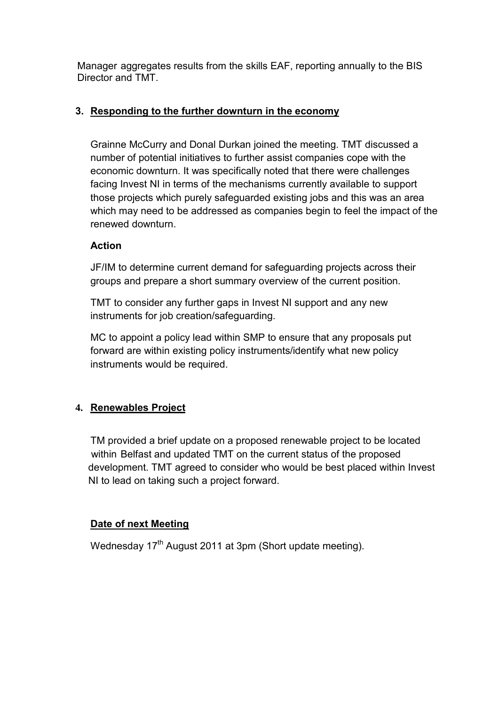Manager aggregates results from the skills EAF, reporting annually to the BIS Director and TMT.

# **3. Responding to the further downturn in the economy**

Grainne McCurry and Donal Durkan joined the meeting. TMT discussed a number of potential initiatives to further assist companies cope with the economic downturn. It was specifically noted that there were challenges facing Invest NI in terms of the mechanisms currently available to support those projects which purely safeguarded existing jobs and this was an area which may need to be addressed as companies begin to feel the impact of the renewed downturn.

# **Action**

JF/IM to determine current demand for safeguarding projects across their groups and prepare a short summary overview of the current position.

TMT to consider any further gaps in Invest NI support and any new instruments for job creation/safeguarding.

MC to appoint a policy lead within SMP to ensure that any proposals put forward are within existing policy instruments/identify what new policy instruments would be required.

# **4. Renewables Project**

TM provided a brief update on a proposed renewable project to be located within Belfast and updated TMT on the current status of the proposed development. TMT agreed to consider who would be best placed within Invest NI to lead on taking such a project forward.

# **Date of next Meeting**

Wednesday 17<sup>th</sup> August 2011 at 3pm (Short update meeting).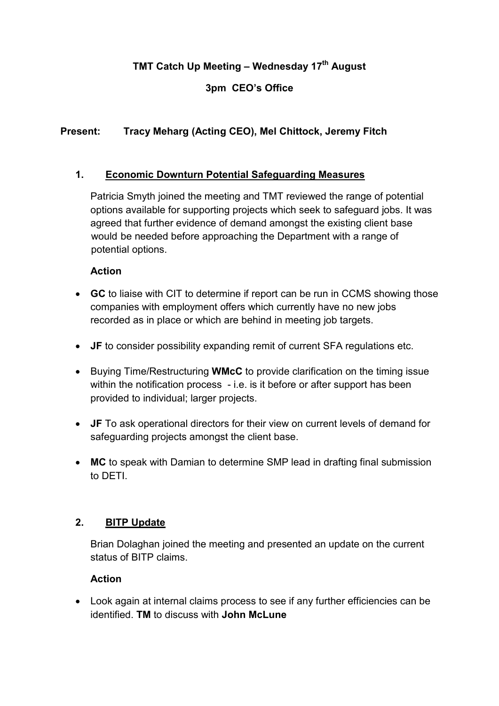# **TMT Catch Up Meeting – Wednesday 17th August**

# **3pm CEO's Office**

# **Present: Tracy Meharg (Acting CEO), Mel Chittock, Jeremy Fitch**

# **1. Economic Downturn Potential Safeguarding Measures**

Patricia Smyth joined the meeting and TMT reviewed the range of potential options available for supporting projects which seek to safeguard jobs. It was agreed that further evidence of demand amongst the existing client base would be needed before approaching the Department with a range of potential options.

# **Action**

- **GC** to liaise with CIT to determine if report can be run in CCMS showing those companies with employment offers which currently have no new jobs recorded as in place or which are behind in meeting job targets.
- **JF** to consider possibility expanding remit of current SFA regulations etc.
- Buying Time/Restructuring **WMcC** to provide clarification on the timing issue within the notification process - i.e. is it before or after support has been provided to individual; larger projects.
- **JF** To ask operational directors for their view on current levels of demand for safeguarding projects amongst the client base.
- **MC** to speak with Damian to determine SMP lead in drafting final submission to DETI.

# **2. BITP Update**

Brian Dolaghan joined the meeting and presented an update on the current status of BITP claims.

# **Action**

• Look again at internal claims process to see if any further efficiencies can be identified. **TM** to discuss with **John McLune**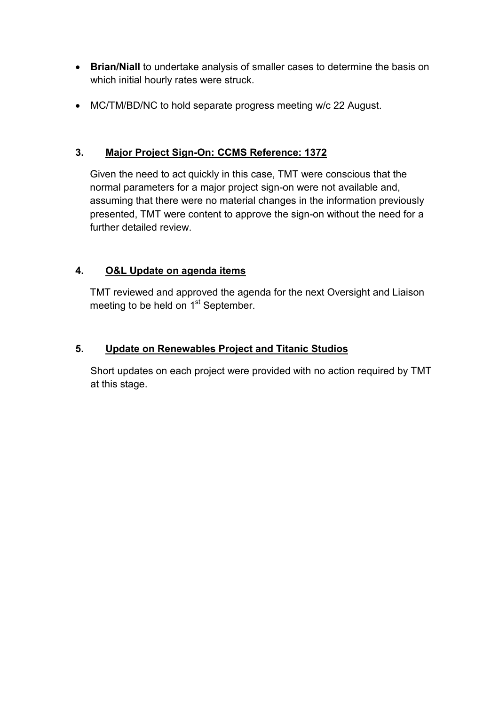- **Brian/Niall** to undertake analysis of smaller cases to determine the basis on which initial hourly rates were struck.
- MC/TM/BD/NC to hold separate progress meeting w/c 22 August.

# **3. Major Project Sign-On: CCMS Reference: 1372**

Given the need to act quickly in this case, TMT were conscious that the normal parameters for a major project sign-on were not available and, assuming that there were no material changes in the information previously presented, TMT were content to approve the sign-on without the need for a further detailed review.

# **4. O&L Update on agenda items**

TMT reviewed and approved the agenda for the next Oversight and Liaison meeting to be held on 1<sup>st</sup> September.

# **5. Update on Renewables Project and Titanic Studios**

Short updates on each project were provided with no action required by TMT at this stage.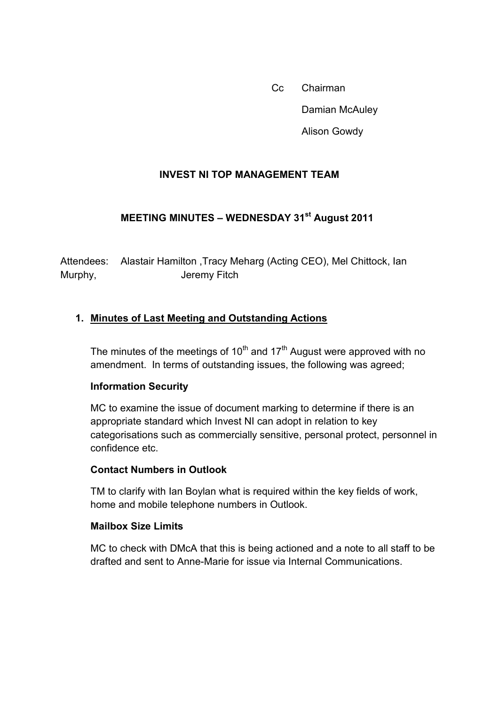Damian McAuley

Alison Gowdy

# **INVEST NI TOP MANAGEMENT TEAM**

# **MEETING MINUTES – WEDNESDAY 31st August 2011**

Attendees: Alastair Hamilton ,Tracy Meharg (Acting CEO), Mel Chittock, Ian Murphy, Jeremy Fitch

# **1. Minutes of Last Meeting and Outstanding Actions**

The minutes of the meetings of  $10<sup>th</sup>$  and  $17<sup>th</sup>$  August were approved with no amendment. In terms of outstanding issues, the following was agreed;

# **Information Security**

MC to examine the issue of document marking to determine if there is an appropriate standard which Invest NI can adopt in relation to key categorisations such as commercially sensitive, personal protect, personnel in confidence etc.

#### **Contact Numbers in Outlook**

TM to clarify with Ian Boylan what is required within the key fields of work, home and mobile telephone numbers in Outlook.

#### **Mailbox Size Limits**

MC to check with DMcA that this is being actioned and a note to all staff to be drafted and sent to Anne-Marie for issue via Internal Communications.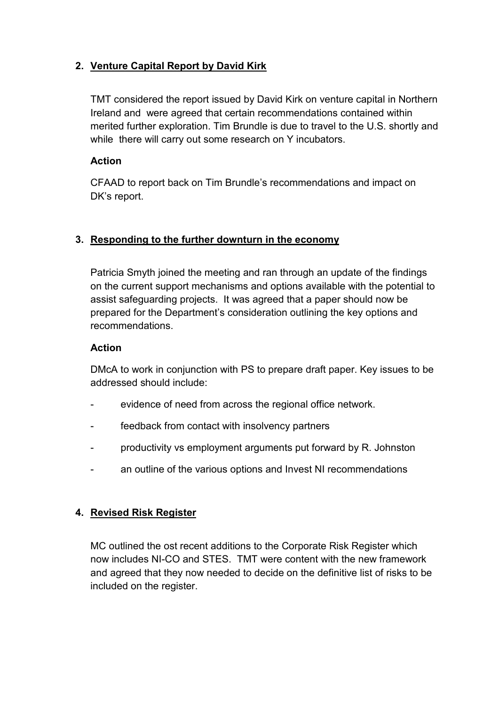# **2. Venture Capital Report by David Kirk**

TMT considered the report issued by David Kirk on venture capital in Northern Ireland and were agreed that certain recommendations contained within merited further exploration. Tim Brundle is due to travel to the U.S. shortly and while there will carry out some research on Y incubators.

# **Action**

CFAAD to report back on Tim Brundle's recommendations and impact on DK's report.

# **3. Responding to the further downturn in the economy**

Patricia Smyth joined the meeting and ran through an update of the findings on the current support mechanisms and options available with the potential to assist safeguarding projects. It was agreed that a paper should now be prepared for the Department's consideration outlining the key options and recommendations.

# **Action**

DMcA to work in conjunction with PS to prepare draft paper. Key issues to be addressed should include:

- evidence of need from across the regional office network.
- feedback from contact with insolvency partners
- productivity vs employment arguments put forward by R. Johnston
- an outline of the various options and Invest NI recommendations

# **4. Revised Risk Register**

MC outlined the ost recent additions to the Corporate Risk Register which now includes NI-CO and STES. TMT were content with the new framework and agreed that they now needed to decide on the definitive list of risks to be included on the register.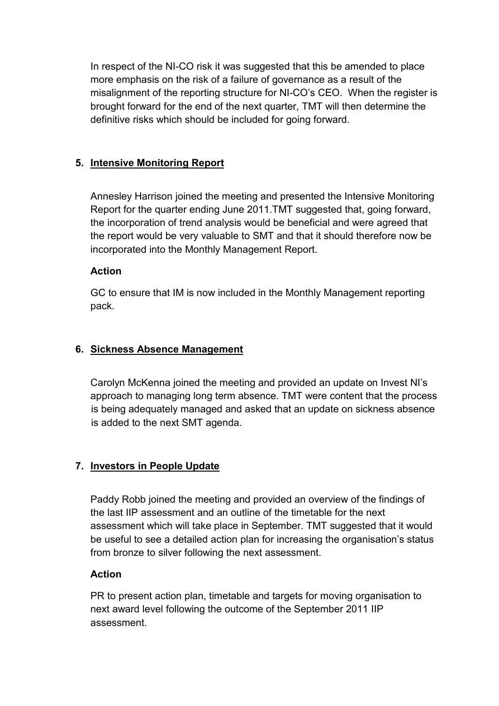In respect of the NI-CO risk it was suggested that this be amended to place more emphasis on the risk of a failure of governance as a result of the misalignment of the reporting structure for NI-CO's CEO. When the register is brought forward for the end of the next quarter, TMT will then determine the definitive risks which should be included for going forward.

# **5. Intensive Monitoring Report**

Annesley Harrison joined the meeting and presented the Intensive Monitoring Report for the quarter ending June 2011.TMT suggested that, going forward, the incorporation of trend analysis would be beneficial and were agreed that the report would be very valuable to SMT and that it should therefore now be incorporated into the Monthly Management Report.

# **Action**

GC to ensure that IM is now included in the Monthly Management reporting pack.

# **6. Sickness Absence Management**

Carolyn McKenna joined the meeting and provided an update on Invest NI's approach to managing long term absence. TMT were content that the process is being adequately managed and asked that an update on sickness absence is added to the next SMT agenda.

# **7. Investors in People Update**

Paddy Robb joined the meeting and provided an overview of the findings of the last IIP assessment and an outline of the timetable for the next assessment which will take place in September. TMT suggested that it would be useful to see a detailed action plan for increasing the organisation's status from bronze to silver following the next assessment.

# **Action**

PR to present action plan, timetable and targets for moving organisation to next award level following the outcome of the September 2011 IIP assessment.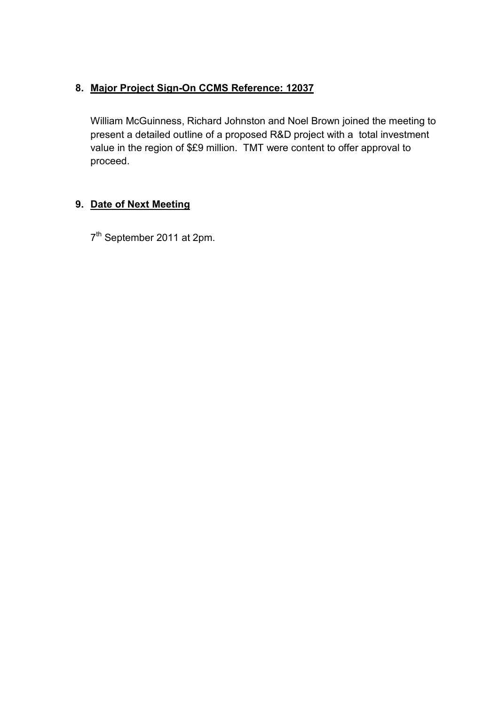# **8. Major Project Sign-On CCMS Reference: 12037**

William McGuinness, Richard Johnston and Noel Brown joined the meeting to present a detailed outline of a proposed R&D project with a total investment value in the region of \$£9 million. TMT were content to offer approval to proceed.

# **9. Date of Next Meeting**

7<sup>th</sup> September 2011 at 2pm.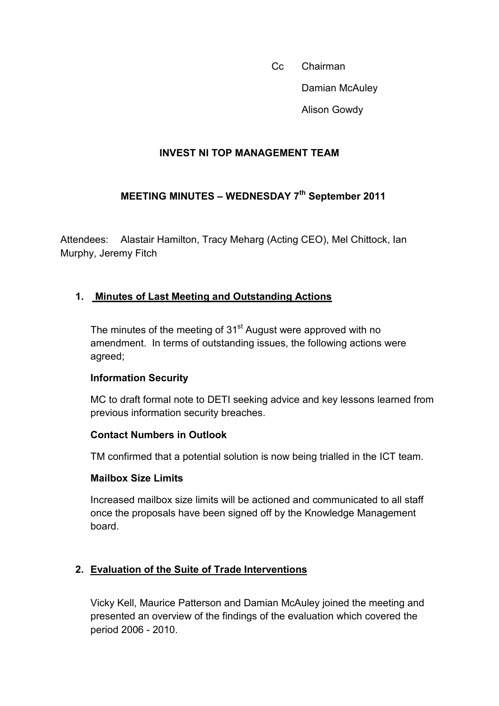Damian McAuley

Alison Gowdy

#### **INVEST NI TOP MANAGEMENT TEAM**

# **MEETING MINUTES – WEDNESDAY 7th September 2011**

Attendees: Alastair Hamilton, Tracy Meharg (Acting CEO), Mel Chittock, Ian Murphy, Jeremy Fitch

# **1. Minutes of Last Meeting and Outstanding Actions**

The minutes of the meeting of 31<sup>st</sup> August were approved with no amendment. In terms of outstanding issues, the following actions were agreed;

# **Information Security**

MC to draft formal note to DETI seeking advice and key lessons learned from previous information security breaches.

# **Contact Numbers in Outlook**

TM confirmed that a potential solution is now being trialled in the ICT team.

#### **Mailbox Size Limits**

Increased mailbox size limits will be actioned and communicated to all staff once the proposals have been signed off by the Knowledge Management board.

# **2. Evaluation of the Suite of Trade Interventions**

Vicky Kell, Maurice Patterson and Damian McAuley joined the meeting and presented an overview of the findings of the evaluation which covered the period 2006 - 2010.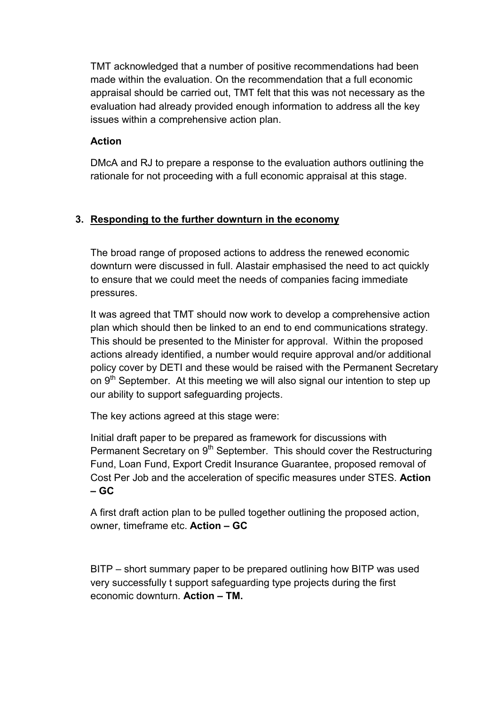TMT acknowledged that a number of positive recommendations had been made within the evaluation. On the recommendation that a full economic appraisal should be carried out, TMT felt that this was not necessary as the evaluation had already provided enough information to address all the key issues within a comprehensive action plan.

# **Action**

DMcA and RJ to prepare a response to the evaluation authors outlining the rationale for not proceeding with a full economic appraisal at this stage.

# **3. Responding to the further downturn in the economy**

The broad range of proposed actions to address the renewed economic downturn were discussed in full. Alastair emphasised the need to act quickly to ensure that we could meet the needs of companies facing immediate pressures.

It was agreed that TMT should now work to develop a comprehensive action plan which should then be linked to an end to end communications strategy. This should be presented to the Minister for approval. Within the proposed actions already identified, a number would require approval and/or additional policy cover by DETI and these would be raised with the Permanent Secretary on 9<sup>th</sup> September. At this meeting we will also signal our intention to step up our ability to support safeguarding projects.

The key actions agreed at this stage were:

Initial draft paper to be prepared as framework for discussions with Permanent Secretary on 9<sup>th</sup> September. This should cover the Restructuring Fund, Loan Fund, Export Credit Insurance Guarantee, proposed removal of Cost Per Job and the acceleration of specific measures under STES. **Action – GC**

A first draft action plan to be pulled together outlining the proposed action, owner, timeframe etc. **Action – GC**

BITP – short summary paper to be prepared outlining how BITP was used very successfully t support safeguarding type projects during the first economic downturn. **Action – TM.**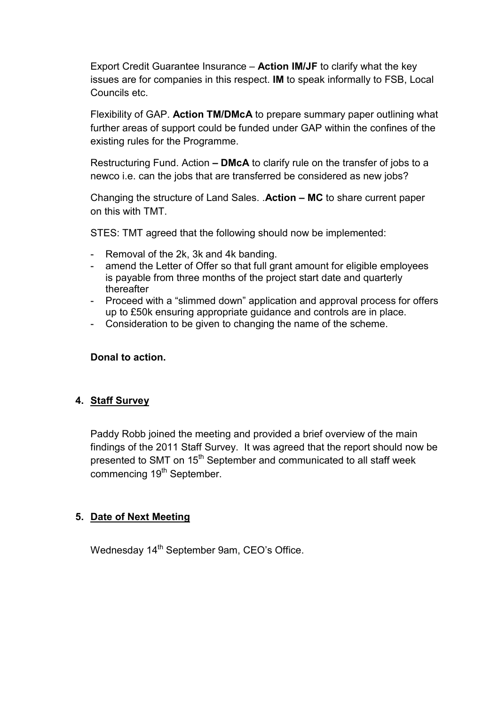Export Credit Guarantee Insurance – **Action IM/JF** to clarify what the key issues are for companies in this respect. **IM** to speak informally to FSB, Local Councils etc.

Flexibility of GAP. **Action TM/DMcA** to prepare summary paper outlining what further areas of support could be funded under GAP within the confines of the existing rules for the Programme.

Restructuring Fund. Action **– DMcA** to clarify rule on the transfer of jobs to a newco i.e. can the jobs that are transferred be considered as new jobs?

Changing the structure of Land Sales. .**Action – MC** to share current paper on this with TMT.

STES: TMT agreed that the following should now be implemented:

- Removal of the 2k, 3k and 4k banding.
- amend the Letter of Offer so that full grant amount for eligible employees is payable from three months of the project start date and quarterly thereafter
- Proceed with a "slimmed down" application and approval process for offers up to £50k ensuring appropriate guidance and controls are in place.
- Consideration to be given to changing the name of the scheme.

#### **Donal to action.**

# **4. Staff Survey**

Paddy Robb joined the meeting and provided a brief overview of the main findings of the 2011 Staff Survey. It was agreed that the report should now be presented to SMT on 15<sup>th</sup> September and communicated to all staff week commencing 19<sup>th</sup> September.

# **5. Date of Next Meeting**

Wednesday 14<sup>th</sup> September 9am, CEO's Office.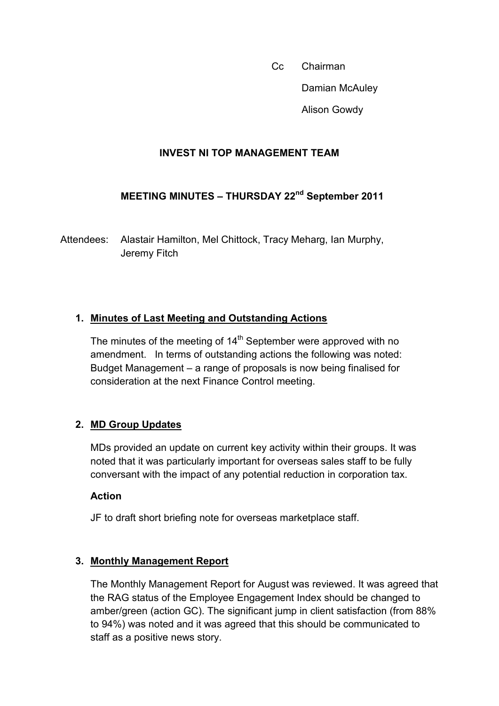Damian McAuley

Alison Gowdy

# **INVEST NI TOP MANAGEMENT TEAM**

# **MEETING MINUTES – THURSDAY 22nd September 2011**

Attendees: Alastair Hamilton, Mel Chittock, Tracy Meharg, Ian Murphy, Jeremy Fitch

# **1. Minutes of Last Meeting and Outstanding Actions**

The minutes of the meeting of  $14<sup>th</sup>$  September were approved with no amendment. In terms of outstanding actions the following was noted: Budget Management – a range of proposals is now being finalised for consideration at the next Finance Control meeting.

# **2. MD Group Updates**

MDs provided an update on current key activity within their groups. It was noted that it was particularly important for overseas sales staff to be fully conversant with the impact of any potential reduction in corporation tax.

# **Action**

JF to draft short briefing note for overseas marketplace staff.

# **3. Monthly Management Report**

The Monthly Management Report for August was reviewed. It was agreed that the RAG status of the Employee Engagement Index should be changed to amber/green (action GC). The significant jump in client satisfaction (from 88% to 94%) was noted and it was agreed that this should be communicated to staff as a positive news story.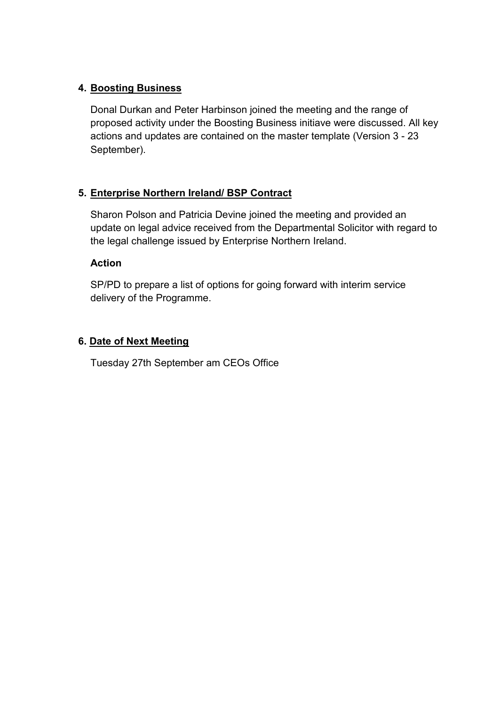# **4. Boosting Business**

Donal Durkan and Peter Harbinson joined the meeting and the range of proposed activity under the Boosting Business initiave were discussed. All key actions and updates are contained on the master template (Version 3 - 23 September).

# **5. Enterprise Northern Ireland/ BSP Contract**

Sharon Polson and Patricia Devine joined the meeting and provided an update on legal advice received from the Departmental Solicitor with regard to the legal challenge issued by Enterprise Northern Ireland.

# **Action**

SP/PD to prepare a list of options for going forward with interim service delivery of the Programme.

# **6. Date of Next Meeting**

Tuesday 27th September am CEOs Office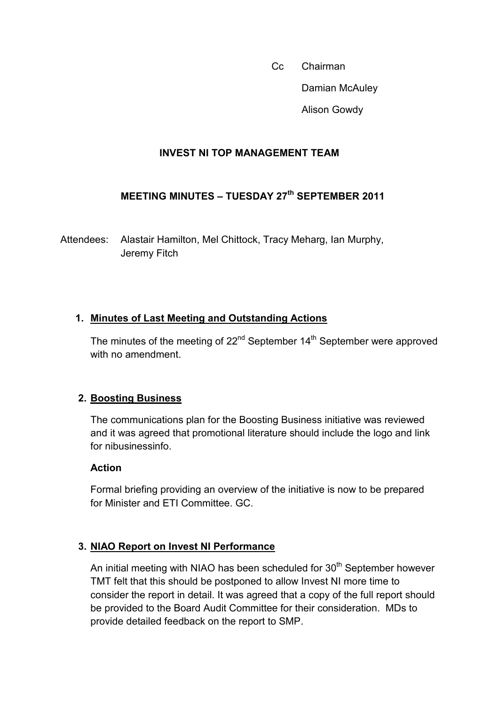Damian McAuley

Alison Gowdy

# **INVEST NI TOP MANAGEMENT TEAM**

# **MEETING MINUTES – TUESDAY 27th SEPTEMBER 2011**

Attendees: Alastair Hamilton, Mel Chittock, Tracy Meharg, Ian Murphy, Jeremy Fitch

# **1. Minutes of Last Meeting and Outstanding Actions**

The minutes of the meeting of 22<sup>nd</sup> September 14<sup>th</sup> September were approved with no amendment.

# **2. Boosting Business**

The communications plan for the Boosting Business initiative was reviewed and it was agreed that promotional literature should include the logo and link for nibusinessinfo.

# **Action**

Formal briefing providing an overview of the initiative is now to be prepared for Minister and ETI Committee. GC.

# **3. NIAO Report on Invest NI Performance**

An initial meeting with NIAO has been scheduled for  $30<sup>th</sup>$  September however TMT felt that this should be postponed to allow Invest NI more time to consider the report in detail. It was agreed that a copy of the full report should be provided to the Board Audit Committee for their consideration. MDs to provide detailed feedback on the report to SMP.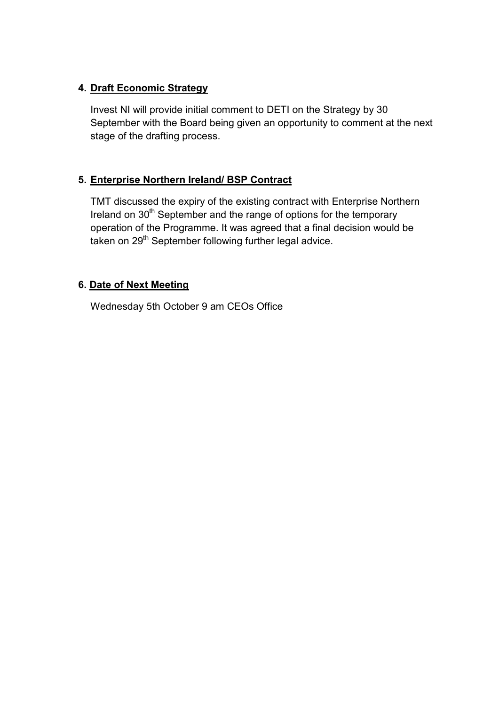# **4. Draft Economic Strategy**

Invest NI will provide initial comment to DETI on the Strategy by 30 September with the Board being given an opportunity to comment at the next stage of the drafting process.

# **5. Enterprise Northern Ireland/ BSP Contract**

TMT discussed the expiry of the existing contract with Enterprise Northern Ireland on 30<sup>th</sup> September and the range of options for the temporary operation of the Programme. It was agreed that a final decision would be taken on 29<sup>th</sup> September following further legal advice.

# **6. Date of Next Meeting**

Wednesday 5th October 9 am CEOs Office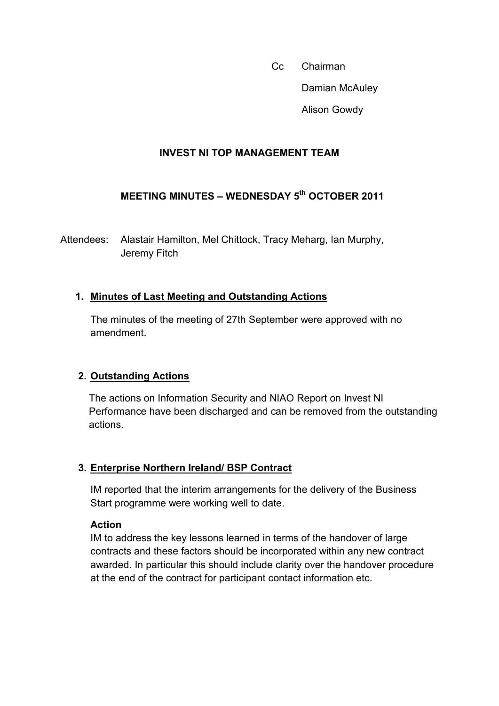Damian McAuley

Alison Gowdy

# **INVEST NI TOP MANAGEMENT TEAM**

# **MEETING MINUTES – WEDNESDAY 5th OCTOBER 2011**

Attendees: Alastair Hamilton, Mel Chittock, Tracy Meharg, Ian Murphy, Jeremy Fitch

# **1. Minutes of Last Meeting and Outstanding Actions**

The minutes of the meeting of 27th September were approved with no amendment.

# **2. Outstanding Actions**

 The actions on Information Security and NIAO Report on Invest NI Performance have been discharged and can be removed from the outstanding actions.

# **3. Enterprise Northern Ireland/ BSP Contract**

IM reported that the interim arrangements for the delivery of the Business Start programme were working well to date.

# **Action**

IM to address the key lessons learned in terms of the handover of large contracts and these factors should be incorporated within any new contract awarded. In particular this should include clarity over the handover procedure at the end of the contract for participant contact information etc.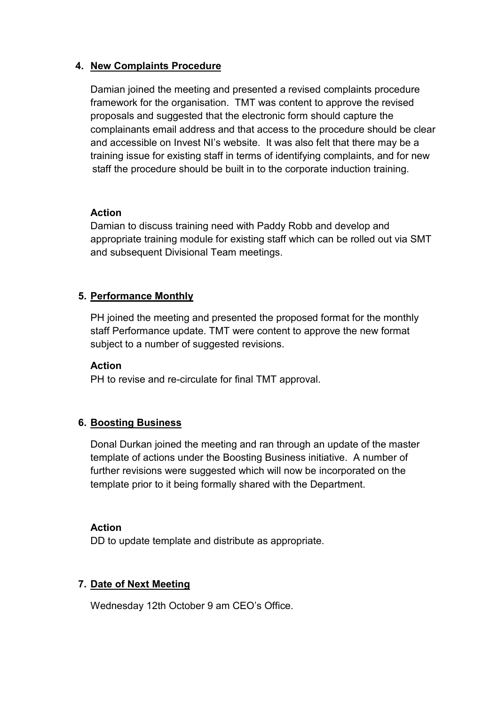#### **4. New Complaints Procedure**

Damian joined the meeting and presented a revised complaints procedure framework for the organisation. TMT was content to approve the revised proposals and suggested that the electronic form should capture the complainants email address and that access to the procedure should be clear and accessible on Invest NI's website. It was also felt that there may be a training issue for existing staff in terms of identifying complaints, and for new staff the procedure should be built in to the corporate induction training.

#### **Action**

Damian to discuss training need with Paddy Robb and develop and appropriate training module for existing staff which can be rolled out via SMT and subsequent Divisional Team meetings.

# **5. Performance Monthly**

PH joined the meeting and presented the proposed format for the monthly staff Performance update. TMT were content to approve the new format subject to a number of suggested revisions.

#### **Action**

PH to revise and re-circulate for final TMT approval.

# **6. Boosting Business**

Donal Durkan joined the meeting and ran through an update of the master template of actions under the Boosting Business initiative. A number of further revisions were suggested which will now be incorporated on the template prior to it being formally shared with the Department.

# **Action**

DD to update template and distribute as appropriate.

# **7. Date of Next Meeting**

Wednesday 12th October 9 am CEO's Office.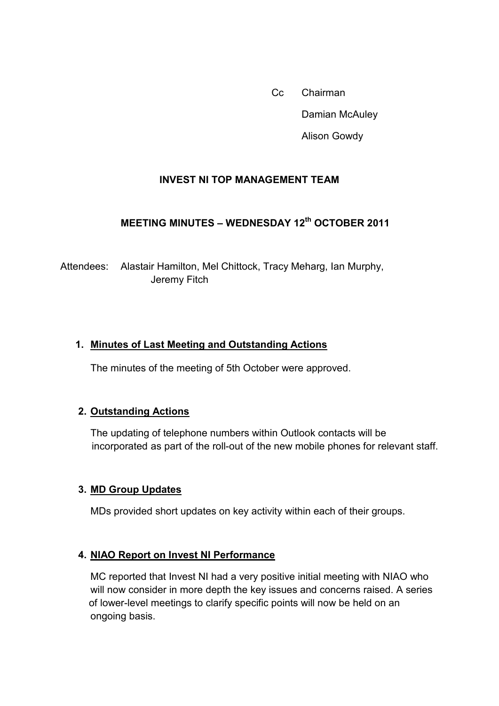Cc Chairman Damian McAuley Alison Gowdy

# **INVEST NI TOP MANAGEMENT TEAM**

# **MEETING MINUTES – WEDNESDAY 12th OCTOBER 2011**

Attendees: Alastair Hamilton, Mel Chittock, Tracy Meharg, Ian Murphy, Jeremy Fitch

#### **1. Minutes of Last Meeting and Outstanding Actions**

The minutes of the meeting of 5th October were approved.

#### **2. Outstanding Actions**

The updating of telephone numbers within Outlook contacts will be incorporated as part of the roll-out of the new mobile phones for relevant staff.

#### **3. MD Group Updates**

MDs provided short updates on key activity within each of their groups.

#### **4. NIAO Report on Invest NI Performance**

MC reported that Invest NI had a very positive initial meeting with NIAO who will now consider in more depth the key issues and concerns raised. A series of lower-level meetings to clarify specific points will now be held on an ongoing basis.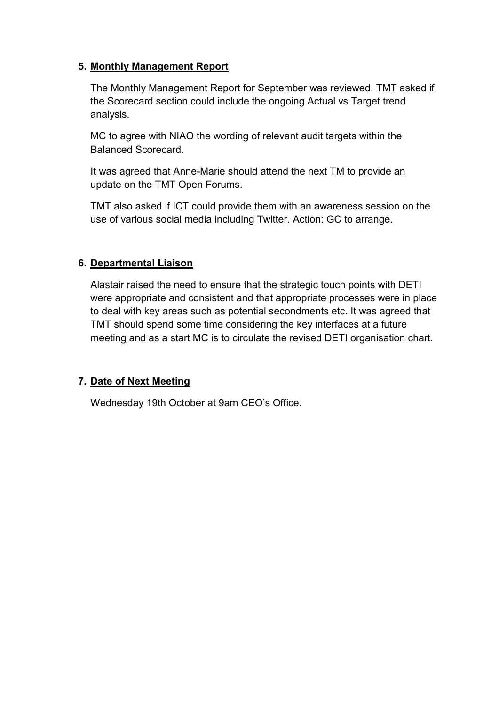#### **5. Monthly Management Report**

The Monthly Management Report for September was reviewed. TMT asked if the Scorecard section could include the ongoing Actual vs Target trend analysis.

MC to agree with NIAO the wording of relevant audit targets within the Balanced Scorecard.

It was agreed that Anne-Marie should attend the next TM to provide an update on the TMT Open Forums.

TMT also asked if ICT could provide them with an awareness session on the use of various social media including Twitter. Action: GC to arrange.

# **6. Departmental Liaison**

Alastair raised the need to ensure that the strategic touch points with DETI were appropriate and consistent and that appropriate processes were in place to deal with key areas such as potential secondments etc. It was agreed that TMT should spend some time considering the key interfaces at a future meeting and as a start MC is to circulate the revised DETI organisation chart.

# **7. Date of Next Meeting**

Wednesday 19th October at 9am CEO's Office.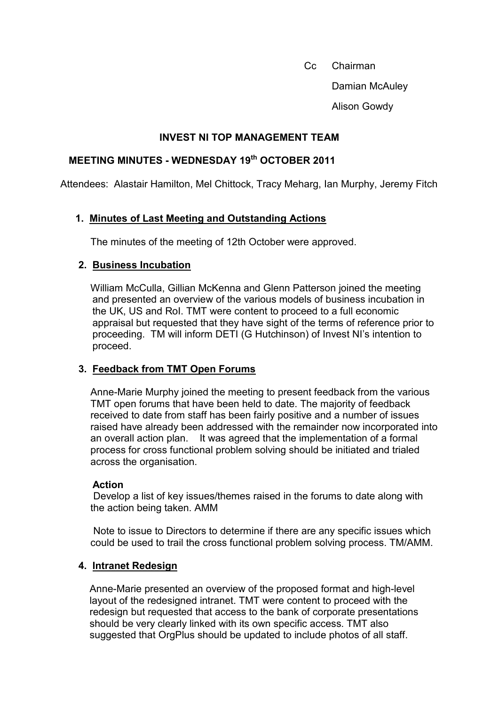Damian McAuley

Alison Gowdy

# **INVEST NI TOP MANAGEMENT TEAM**

# **MEETING MINUTES - WEDNESDAY 19th OCTOBER 2011**

Attendees: Alastair Hamilton, Mel Chittock, Tracy Meharg, Ian Murphy, Jeremy Fitch

# **1. Minutes of Last Meeting and Outstanding Actions**

The minutes of the meeting of 12th October were approved.

# **2. Business Incubation**

 William McCulla, Gillian McKenna and Glenn Patterson joined the meeting and presented an overview of the various models of business incubation in the UK, US and RoI. TMT were content to proceed to a full economic appraisal but requested that they have sight of the terms of reference prior to proceeding. TM will inform DETI (G Hutchinson) of Invest NI's intention to proceed.

# **3. Feedback from TMT Open Forums**

 Anne-Marie Murphy joined the meeting to present feedback from the various TMT open forums that have been held to date. The majority of feedback received to date from staff has been fairly positive and a number of issues raised have already been addressed with the remainder now incorporated into an overall action plan. It was agreed that the implementation of a formal process for cross functional problem solving should be initiated and trialed across the organisation.

# **Action**

Develop a list of key issues/themes raised in the forums to date along with the action being taken. AMM

Note to issue to Directors to determine if there are any specific issues which could be used to trail the cross functional problem solving process. TM/AMM.

# **4. Intranet Redesign**

 Anne-Marie presented an overview of the proposed format and high-level layout of the redesigned intranet. TMT were content to proceed with the redesign but requested that access to the bank of corporate presentations should be very clearly linked with its own specific access. TMT also suggested that OrgPlus should be updated to include photos of all staff.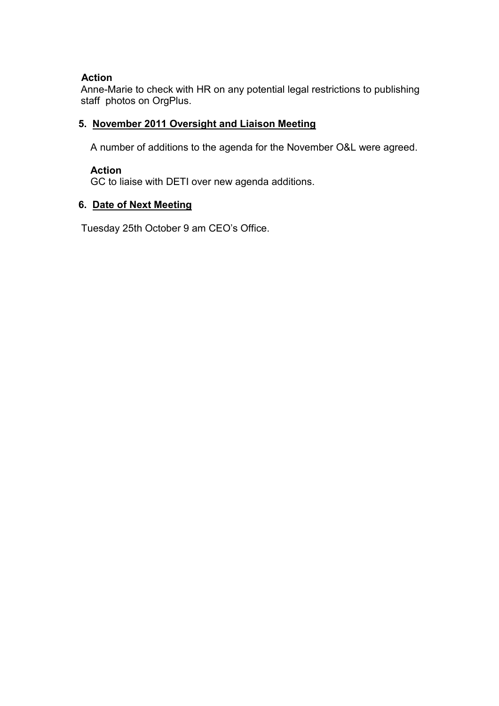#### **Action**

 Anne-Marie to check with HR on any potential legal restrictions to publishing staff photos on OrgPlus.

# **5. November 2011 Oversight and Liaison Meeting**

A number of additions to the agenda for the November O&L were agreed.

#### **Action**

GC to liaise with DETI over new agenda additions.

# **6. Date of Next Meeting**

Tuesday 25th October 9 am CEO's Office.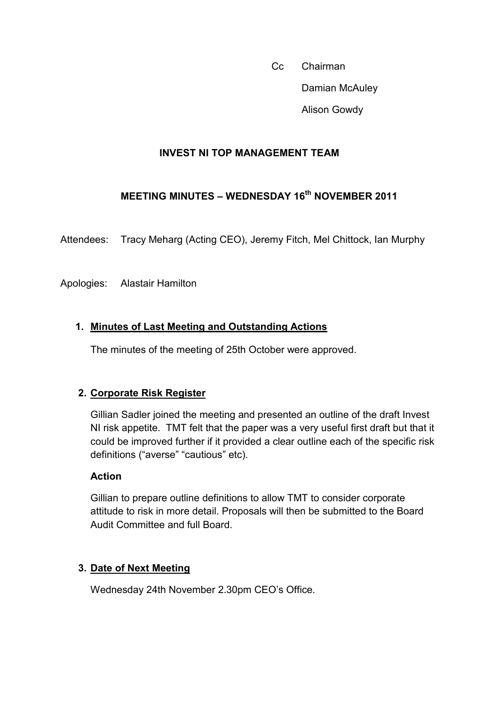Damian McAuley

Alison Gowdy

# **INVEST NI TOP MANAGEMENT TEAM**

# **MEETING MINUTES – WEDNESDAY 16th NOVEMBER 2011**

Attendees: Tracy Meharg (Acting CEO), Jeremy Fitch, Mel Chittock, Ian Murphy

Apologies: Alastair Hamilton

# **1. Minutes of Last Meeting and Outstanding Actions**

The minutes of the meeting of 25th October were approved.

# **2. Corporate Risk Register**

Gillian Sadler joined the meeting and presented an outline of the draft Invest NI risk appetite. TMT felt that the paper was a very useful first draft but that it could be improved further if it provided a clear outline each of the specific risk definitions ("averse" "cautious" etc).

# **Action**

Gillian to prepare outline definitions to allow TMT to consider corporate attitude to risk in more detail. Proposals will then be submitted to the Board Audit Committee and full Board.

# **3. Date of Next Meeting**

Wednesday 24th November 2.30pm CEO's Office.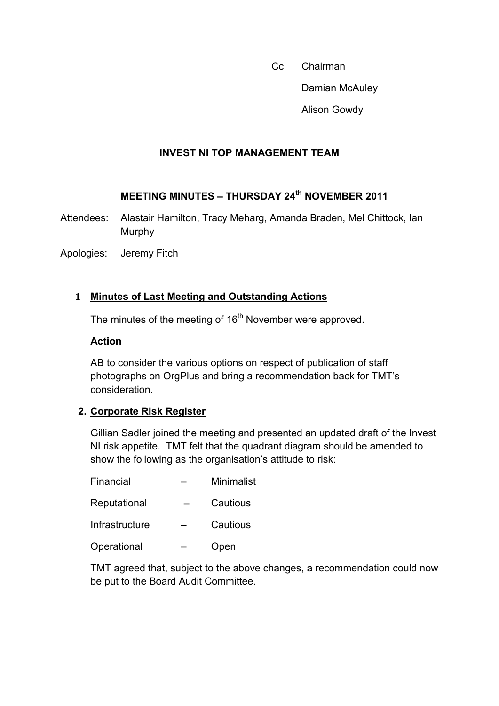Damian McAuley

Alison Gowdy

# **INVEST NI TOP MANAGEMENT TEAM**

# **MEETING MINUTES – THURSDAY 24th NOVEMBER 2011**

Attendees: Alastair Hamilton, Tracy Meharg, Amanda Braden, Mel Chittock, Ian Murphy

Apologies: Jeremy Fitch

# **1 Minutes of Last Meeting and Outstanding Actions**

The minutes of the meeting of 16<sup>th</sup> November were approved.

# **Action**

AB to consider the various options on respect of publication of staff photographs on OrgPlus and bring a recommendation back for TMT's consideration.

# **2. Corporate Risk Register**

Gillian Sadler joined the meeting and presented an updated draft of the Invest NI risk appetite. TMT felt that the quadrant diagram should be amended to show the following as the organisation's attitude to risk:

| Financial      | Minimalist |
|----------------|------------|
| Reputational   | Cautious   |
| Infrastructure | Cautious   |
| Operational    | Open       |

TMT agreed that, subject to the above changes, a recommendation could now be put to the Board Audit Committee.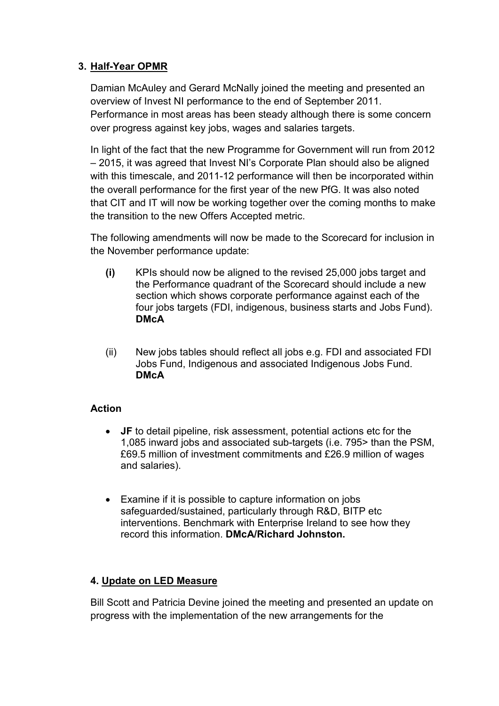# **3. Half-Year OPMR**

Damian McAuley and Gerard McNally joined the meeting and presented an overview of Invest NI performance to the end of September 2011. Performance in most areas has been steady although there is some concern over progress against key jobs, wages and salaries targets.

In light of the fact that the new Programme for Government will run from 2012 – 2015, it was agreed that Invest NI's Corporate Plan should also be aligned with this timescale, and 2011-12 performance will then be incorporated within the overall performance for the first year of the new PfG. It was also noted that CIT and IT will now be working together over the coming months to make the transition to the new Offers Accepted metric.

The following amendments will now be made to the Scorecard for inclusion in the November performance update:

- **(i)** KPIs should now be aligned to the revised 25,000 jobs target and the Performance quadrant of the Scorecard should include a new section which shows corporate performance against each of the four jobs targets (FDI, indigenous, business starts and Jobs Fund). **DMcA**
- (ii) New jobs tables should reflect all jobs e.g. FDI and associated FDI Jobs Fund, Indigenous and associated Indigenous Jobs Fund. **DMcA**

# **Action**

- **JF** to detail pipeline, risk assessment, potential actions etc for the 1,085 inward jobs and associated sub-targets (i.e. 795> than the PSM, £69.5 million of investment commitments and £26.9 million of wages and salaries).
- Examine if it is possible to capture information on jobs safeguarded/sustained, particularly through R&D, BITP etc interventions. Benchmark with Enterprise Ireland to see how they record this information. **DMcA/Richard Johnston.**

# **4. Update on LED Measure**

Bill Scott and Patricia Devine joined the meeting and presented an update on progress with the implementation of the new arrangements for the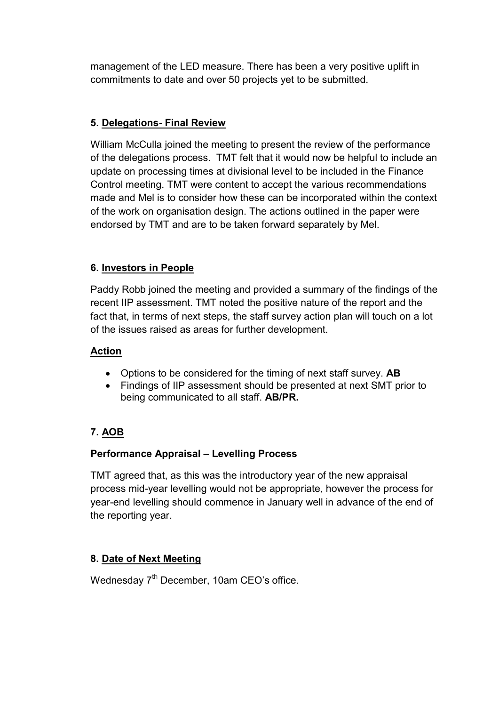management of the LED measure. There has been a very positive uplift in commitments to date and over 50 projects yet to be submitted.

# **5. Delegations- Final Review**

William McCulla joined the meeting to present the review of the performance of the delegations process. TMT felt that it would now be helpful to include an update on processing times at divisional level to be included in the Finance Control meeting. TMT were content to accept the various recommendations made and Mel is to consider how these can be incorporated within the context of the work on organisation design. The actions outlined in the paper were endorsed by TMT and are to be taken forward separately by Mel.

# **6. Investors in People**

Paddy Robb joined the meeting and provided a summary of the findings of the recent IIP assessment. TMT noted the positive nature of the report and the fact that, in terms of next steps, the staff survey action plan will touch on a lot of the issues raised as areas for further development.

# **Action**

- Options to be considered for the timing of next staff survey. **AB**
- Findings of IIP assessment should be presented at next SMT prior to being communicated to all staff. **AB/PR.**

# **7. AOB**

# **Performance Appraisal – Levelling Process**

TMT agreed that, as this was the introductory year of the new appraisal process mid-year levelling would not be appropriate, however the process for year-end levelling should commence in January well in advance of the end of the reporting year.

# **8. Date of Next Meeting**

Wednesday 7<sup>th</sup> December, 10am CEO's office.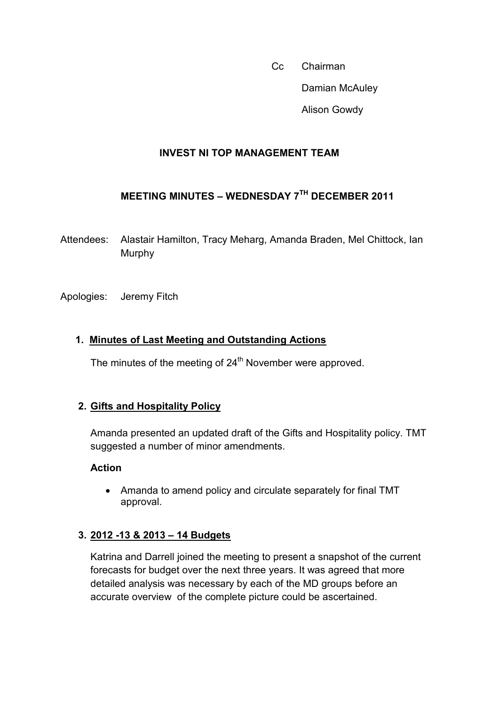Damian McAuley

Alison Gowdy

# **INVEST NI TOP MANAGEMENT TEAM**

# **MEETING MINUTES – WEDNESDAY 7TH DECEMBER 2011**

Attendees: Alastair Hamilton, Tracy Meharg, Amanda Braden, Mel Chittock, Ian Murphy

Apologies: Jeremy Fitch

# **1. Minutes of Last Meeting and Outstanding Actions**

The minutes of the meeting of 24<sup>th</sup> November were approved.

# **2. Gifts and Hospitality Policy**

Amanda presented an updated draft of the Gifts and Hospitality policy. TMT suggested a number of minor amendments.

# **Action**

• Amanda to amend policy and circulate separately for final TMT approval.

# **3. 2012 -13 & 2013 – 14 Budgets**

Katrina and Darrell joined the meeting to present a snapshot of the current forecasts for budget over the next three years. It was agreed that more detailed analysis was necessary by each of the MD groups before an accurate overview of the complete picture could be ascertained.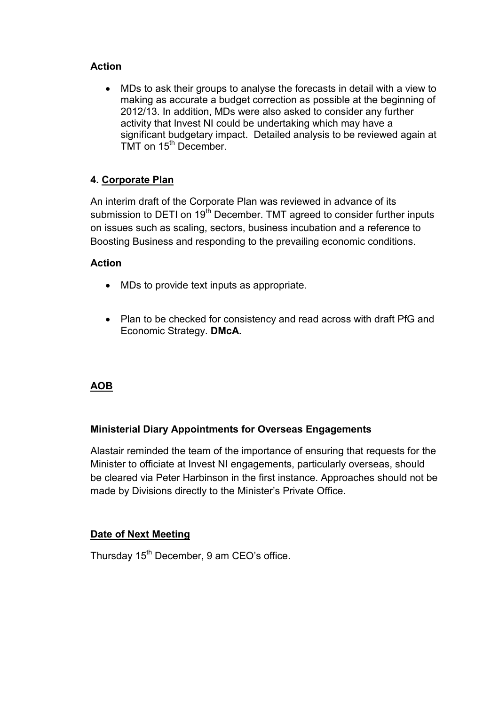# **Action**

• MDs to ask their groups to analyse the forecasts in detail with a view to making as accurate a budget correction as possible at the beginning of 2012/13. In addition, MDs were also asked to consider any further activity that Invest NI could be undertaking which may have a significant budgetary impact. Detailed analysis to be reviewed again at TMT on 15<sup>th</sup> December.

# **4. Corporate Plan**

An interim draft of the Corporate Plan was reviewed in advance of its submission to DETI on 19<sup>th</sup> December. TMT agreed to consider further inputs on issues such as scaling, sectors, business incubation and a reference to Boosting Business and responding to the prevailing economic conditions.

# **Action**

- MDs to provide text inputs as appropriate.
- Plan to be checked for consistency and read across with draft PfG and Economic Strategy. **DMcA.**

# **AOB**

# **Ministerial Diary Appointments for Overseas Engagements**

Alastair reminded the team of the importance of ensuring that requests for the Minister to officiate at Invest NI engagements, particularly overseas, should be cleared via Peter Harbinson in the first instance. Approaches should not be made by Divisions directly to the Minister's Private Office.

# **Date of Next Meeting**

Thursday 15<sup>th</sup> December, 9 am CEO's office.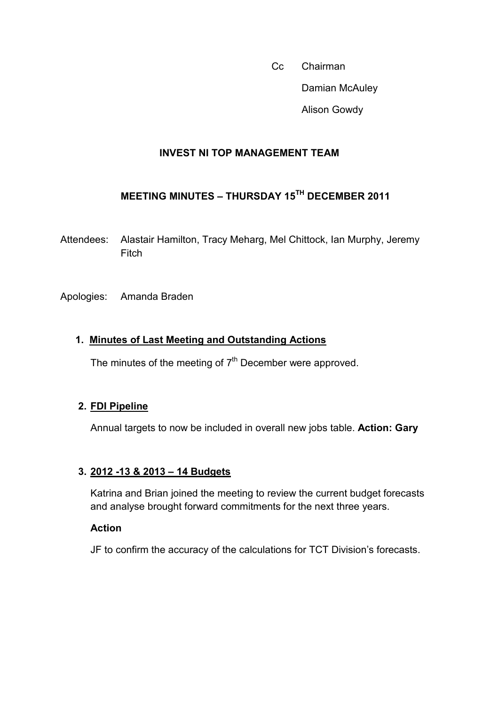Damian McAuley

Alison Gowdy

# **INVEST NI TOP MANAGEMENT TEAM**

# **MEETING MINUTES – THURSDAY 15TH DECEMBER 2011**

Attendees: Alastair Hamilton, Tracy Meharg, Mel Chittock, Ian Murphy, Jeremy Fitch

Apologies: Amanda Braden

# **1. Minutes of Last Meeting and Outstanding Actions**

The minutes of the meeting of  $7<sup>th</sup>$  December were approved.

# **2. FDI Pipeline**

Annual targets to now be included in overall new jobs table. **Action: Gary**

# **3. 2012 -13 & 2013 – 14 Budgets**

Katrina and Brian joined the meeting to review the current budget forecasts and analyse brought forward commitments for the next three years.

# **Action**

JF to confirm the accuracy of the calculations for TCT Division's forecasts.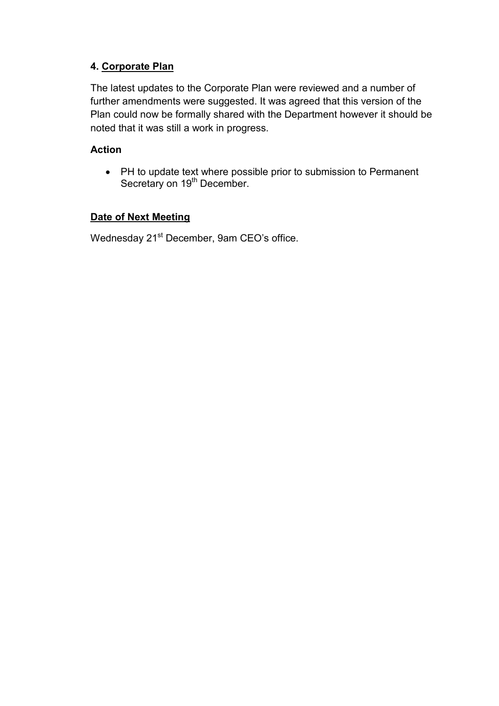# **4. Corporate Plan**

The latest updates to the Corporate Plan were reviewed and a number of further amendments were suggested. It was agreed that this version of the Plan could now be formally shared with the Department however it should be noted that it was still a work in progress.

# **Action**

• PH to update text where possible prior to submission to Permanent Secretary on 19<sup>th</sup> December.

# **Date of Next Meeting**

Wednesday 21<sup>st</sup> December, 9am CEO's office.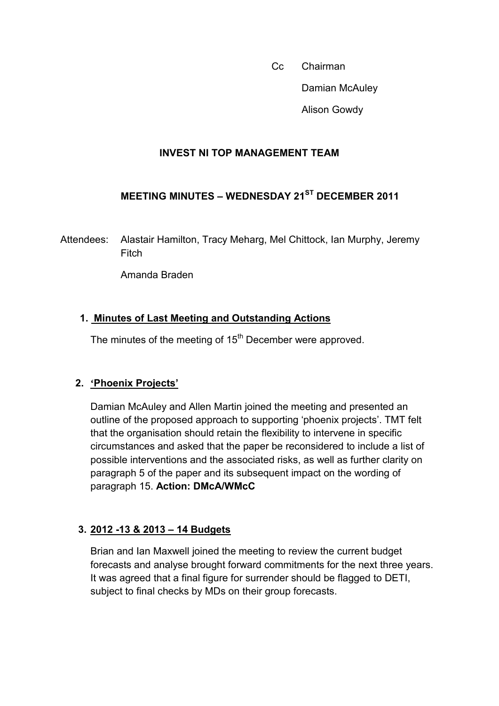Damian McAuley

Alison Gowdy

# **INVEST NI TOP MANAGEMENT TEAM**

# **MEETING MINUTES – WEDNESDAY 21ST DECEMBER 2011**

Attendees: Alastair Hamilton, Tracy Meharg, Mel Chittock, Ian Murphy, Jeremy **Fitch** 

Amanda Braden

# **1. Minutes of Last Meeting and Outstanding Actions**

The minutes of the meeting of 15<sup>th</sup> December were approved.

# **2. 'Phoenix Projects'**

Damian McAuley and Allen Martin joined the meeting and presented an outline of the proposed approach to supporting 'phoenix projects'. TMT felt that the organisation should retain the flexibility to intervene in specific circumstances and asked that the paper be reconsidered to include a list of possible interventions and the associated risks, as well as further clarity on paragraph 5 of the paper and its subsequent impact on the wording of paragraph 15. **Action: DMcA/WMcC**

# **3. 2012 -13 & 2013 – 14 Budgets**

Brian and Ian Maxwell joined the meeting to review the current budget forecasts and analyse brought forward commitments for the next three years. It was agreed that a final figure for surrender should be flagged to DETI, subject to final checks by MDs on their group forecasts.